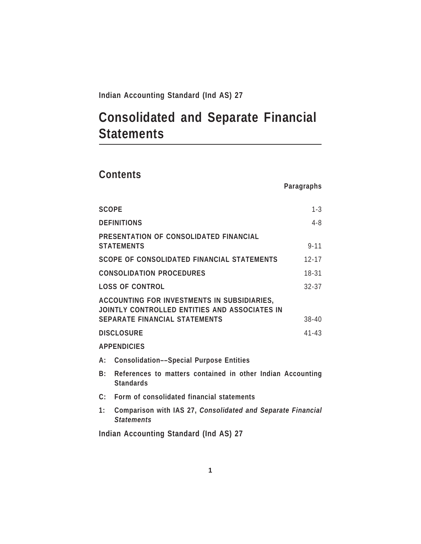**Indian Accounting Standard (Ind AS) 27**

# **Consolidated and Separate Financial Statements**

# **Contents**

## **Paragraphs**

| <b>SCOPE</b> |                                                                                                                                      | $1 - 3$   |
|--------------|--------------------------------------------------------------------------------------------------------------------------------------|-----------|
|              | <b>DEFINITIONS</b>                                                                                                                   | $4 - 8$   |
|              | PRESENTATION OF CONSOLIDATED FINANCIAL<br><b>STATEMENTS</b>                                                                          | $9 - 11$  |
|              | SCOPE OF CONSOLIDATED FINANCIAL STATEMENTS                                                                                           | $12 - 17$ |
|              | <b>CONSOLIDATION PROCEDURES</b>                                                                                                      | $18 - 31$ |
|              | <b>LOSS OF CONTROL</b>                                                                                                               | $32 - 37$ |
|              | ACCOUNTING FOR INVESTMENTS IN SUBSIDIARIES,<br>JOINTLY CONTROLLED ENTITIES AND ASSOCIATES IN<br><b>SEPARATE FINANCIAL STATEMENTS</b> | $38-40$   |
|              | <b>DISCLOSURE</b>                                                                                                                    | $41 - 43$ |
|              | <b>APPENDICIES</b>                                                                                                                   |           |
| А:           | <b>Consolidation--Special Purpose Entities</b>                                                                                       |           |
| B:           | References to matters contained in other Indian Accounting<br><b>Standards</b>                                                       |           |
|              |                                                                                                                                      |           |

- **C: Form of consolidated financial statements**
- **1: Comparison with IAS 27,** *Consolidated and Separate Financial Statements*

**Indian Accounting Standard (Ind AS) 27**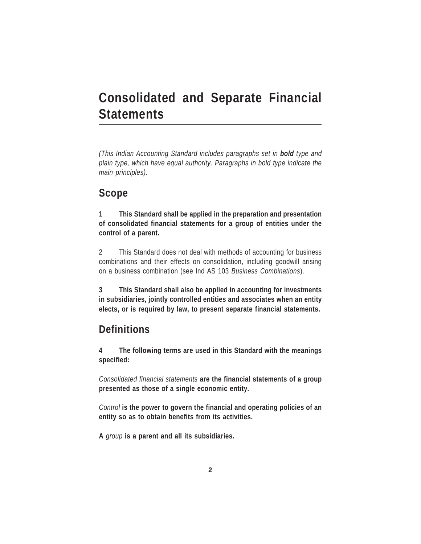*(This Indian Accounting Standard includes paragraphs set in bold type and plain type, which have equal authority. Paragraphs in bold type indicate the main principles).*

# **Scope**

**1 This Standard shall be applied in the preparation and presentation of consolidated financial statements for a group of entities under the control of a parent.**

2 This Standard does not deal with methods of accounting for business combinations and their effects on consolidation, including goodwill arising on a business combination (see Ind AS 103 *Business Combinations*).

**3 This Standard shall also be applied in accounting for investments in subsidiaries, jointly controlled entities and associates when an entity elects, or is required by law, to present separate financial statements.**

# **Definitions**

**4 The following terms are used in this Standard with the meanings specified:**

*Consolidated financial statements* **are the financial statements of a group presented as those of a single economic entity.**

*Control* **is the power to govern the financial and operating policies of an entity so as to obtain benefits from its activities.**

**A** *group* **is a parent and all its subsidiaries.**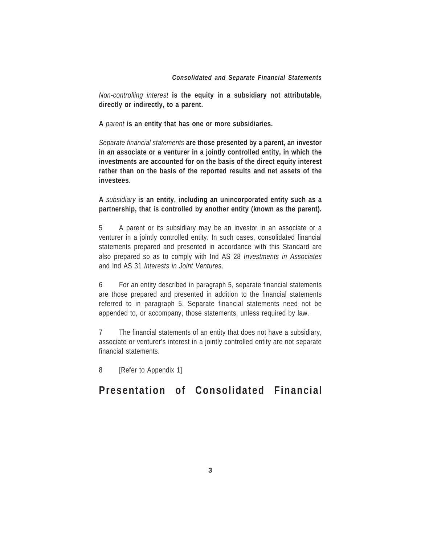*Non-controlling interest* **is the equity in a subsidiary not attributable, directly or indirectly, to a parent.**

**A** *parent* **is an entity that has one or more subsidiaries.**

*Separate financial statements* **are those presented by a parent, an investor in an associate or a venturer in a jointly controlled entity, in which the investments are accounted for on the basis of the direct equity interest rather than on the basis of the reported results and net assets of the investees.**

**A** *subsidiary* **is an entity, including an unincorporated entity such as a partnership, that is controlled by another entity (known as the parent).**

5 A parent or its subsidiary may be an investor in an associate or a venturer in a jointly controlled entity. In such cases, consolidated financial statements prepared and presented in accordance with this Standard are also prepared so as to comply with Ind AS 28 *Investments in Associates* and Ind AS 31 *Interests in Joint Ventures*.

6 For an entity described in paragraph 5, separate financial statements are those prepared and presented in addition to the financial statements referred to in paragraph 5. Separate financial statements need not be appended to, or accompany, those statements, unless required by law.

7 The financial statements of an entity that does not have a subsidiary, associate or venturer's interest in a jointly controlled entity are not separate financial statements.

8 [Refer to Appendix 1]

# **Presentation of Consolidated Financial**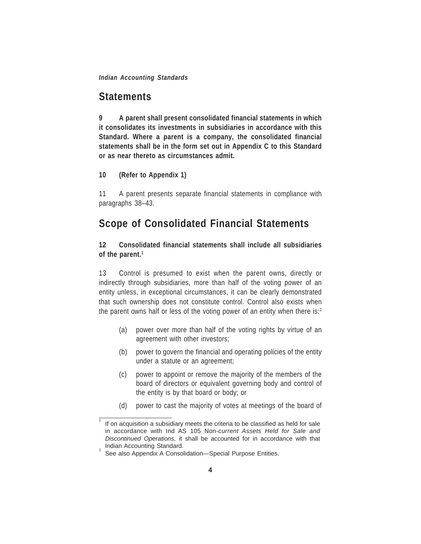# **Statements**

**9 A parent shall present consolidated financial statements in which it consolidates its investments in subsidiaries in accordance with this Standard. Where a parent is a company, the consolidated financial statements shall be in the form set out in Appendix C to this Standard or as near thereto as circumstances admit.**

### **10 (Refer to Appendix 1)**

11 A parent presents separate financial statements in compliance with paragraphs 38–43.

# **Scope of Consolidated Financial Statements**

### **12 Consolidated financial statements shall include all subsidiaries of the parent.1**

13 Control is presumed to exist when the parent owns, directly or indirectly through subsidiaries, more than half of the voting power of an entity unless, in exceptional circumstances, it can be clearly demonstrated that such ownership does not constitute control. Control also exists when the parent owns half or less of the voting power of an entity when there is: $2$ 

- (a) power over more than half of the voting rights by virtue of an agreement with other investors;
- (b) power to govern the financial and operating policies of the entity under a statute or an agreement;
- (c) power to appoint or remove the majority of the members of the board of directors or equivalent governing body and control of the entity is by that board or body; or
- (d) power to cast the majority of votes at meetings of the board of

<sup>1</sup> If on acquisition a subsidiary meets the criteria to be classified as held for sale in accordance with Ind AS 105 Non*-current Assets Held for Sale and Discontinued Operations,* it shall be accounted for in accordance with that Indian Accounting Standard.

See also Appendix A Consolidation—Special Purpose Entities.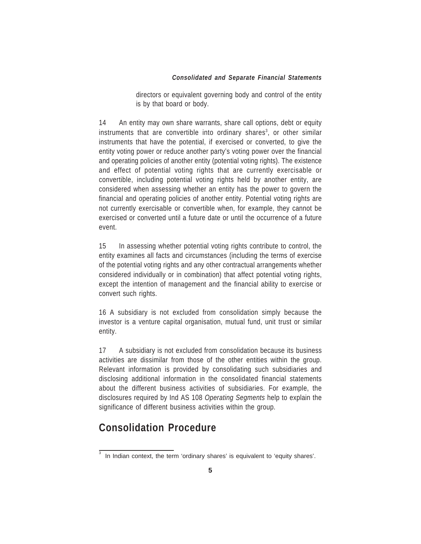directors or equivalent governing body and control of the entity is by that board or body.

14 An entity may own share warrants, share call options, debt or equity instruments that are convertible into ordinary shares<sup>3</sup>, or other similar instruments that have the potential, if exercised or converted, to give the entity voting power or reduce another party's voting power over the financial and operating policies of another entity (potential voting rights). The existence and effect of potential voting rights that are currently exercisable or convertible, including potential voting rights held by another entity, are considered when assessing whether an entity has the power to govern the financial and operating policies of another entity. Potential voting rights are not currently exercisable or convertible when, for example, they cannot be exercised or converted until a future date or until the occurrence of a future event.

15 In assessing whether potential voting rights contribute to control, the entity examines all facts and circumstances (including the terms of exercise of the potential voting rights and any other contractual arrangements whether considered individually or in combination) that affect potential voting rights, except the intention of management and the financial ability to exercise or convert such rights.

16 A subsidiary is not excluded from consolidation simply because the investor is a venture capital organisation, mutual fund, unit trust or similar entity.

17 A subsidiary is not excluded from consolidation because its business activities are dissimilar from those of the other entities within the group. Relevant information is provided by consolidating such subsidiaries and disclosing additional information in the consolidated financial statements about the different business activities of subsidiaries. For example, the disclosures required by Ind AS 108 *Operating Segments* help to explain the significance of different business activities within the group.

# **Consolidation Procedure**

<sup>3</sup> In Indian context, the term 'ordinary shares' is equivalent to 'equity shares'.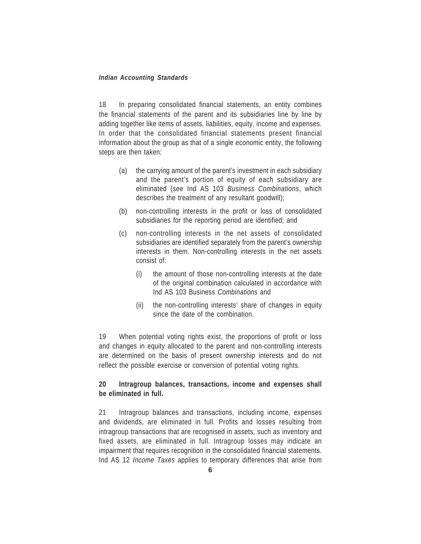18 In preparing consolidated financial statements, an entity combines the financial statements of the parent and its subsidiaries line by line by adding together like items of assets, liabilities, equity, income and expenses. In order that the consolidated financial statements present financial information about the group as that of a single economic entity, the following steps are then taken:

- (a) the carrying amount of the parent's investment in each subsidiary and the parent's portion of equity of each subsidiary are eliminated (see Ind AS 103 *Business Combinations*, which describes the treatment of any resultant goodwill);
- (b) non-controlling interests in the profit or loss of consolidated subsidiaries for the reporting period are identified; and
- (c) non-controlling interests in the net assets of consolidated subsidiaries are identified separately from the parent's ownership interests in them. Non-controlling interests in the net assets consist of:
	- (i) the amount of those non-controlling interests at the date of the original combination calculated in accordance with Ind AS 103 Business *Combinations* and
	- (ii) the non-controlling interests' share of changes in equity since the date of the combination.

19 When potential voting rights exist, the proportions of profit or loss and changes in equity allocated to the parent and non-controlling interests are determined on the basis of present ownership interests and do not reflect the possible exercise or conversion of potential voting rights.

### **20 Intragroup balances, transactions, income and expenses shall be eliminated in full.**

21 Intragroup balances and transactions, including income, expenses and dividends, are eliminated in full. Profits and losses resulting from intragroup transactions that are recognised in assets, such as inventory and fixed assets, are eliminated in full. Intragroup losses may indicate an impairment that requires recognition in the consolidated financial statements. Ind AS 12 *Income Taxes* applies to temporary differences that arise from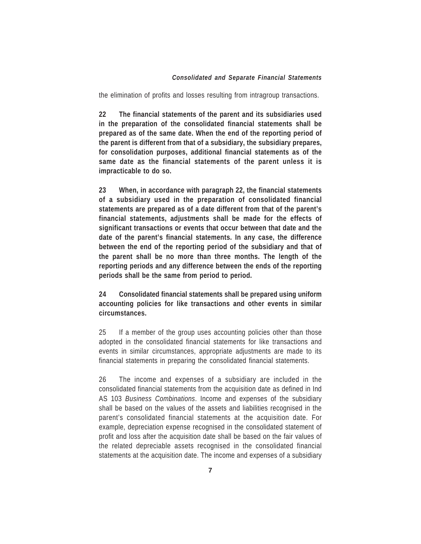the elimination of profits and losses resulting from intragroup transactions.

**22 The financial statements of the parent and its subsidiaries used in the preparation of the consolidated financial statements shall be prepared as of the same date. When the end of the reporting period of the parent is different from that of a subsidiary, the subsidiary prepares, for consolidation purposes, additional financial statements as of the same date as the financial statements of the parent unless it is impracticable to do so.**

**23 When, in accordance with paragraph 22, the financial statements of a subsidiary used in the preparation of consolidated financial statements are prepared as of a date different from that of the parent's financial statements, adjustments shall be made for the effects of significant transactions or events that occur between that date and the date of the parent's financial statements. In any case, the difference between the end of the reporting period of the subsidiary and that of the parent shall be no more than three months. The length of the reporting periods and any difference between the ends of the reporting periods shall be the same from period to period.**

**24 Consolidated financial statements shall be prepared using uniform accounting policies for like transactions and other events in similar circumstances.**

25 If a member of the group uses accounting policies other than those adopted in the consolidated financial statements for like transactions and events in similar circumstances, appropriate adjustments are made to its financial statements in preparing the consolidated financial statements.

26 The income and expenses of a subsidiary are included in the consolidated financial statements from the acquisition date as defined in Ind AS 103 *Business Combinations*. Income and expenses of the subsidiary shall be based on the values of the assets and liabilities recognised in the parent's consolidated financial statements at the acquisition date. For example, depreciation expense recognised in the consolidated statement of profit and loss after the acquisition date shall be based on the fair values of the related depreciable assets recognised in the consolidated financial statements at the acquisition date. The income and expenses of a subsidiary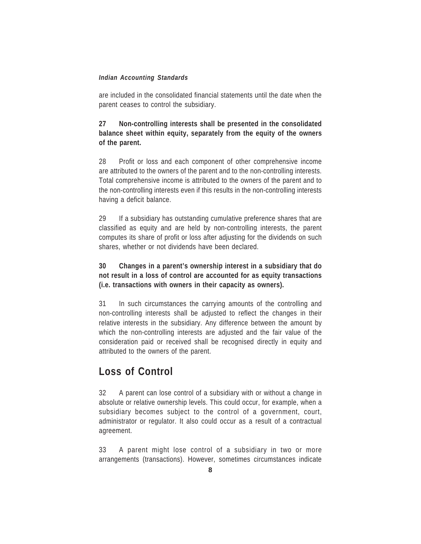are included in the consolidated financial statements until the date when the parent ceases to control the subsidiary.

## **27 Non-controlling interests shall be presented in the consolidated balance sheet within equity, separately from the equity of the owners of the parent.**

28 Profit or loss and each component of other comprehensive income are attributed to the owners of the parent and to the non-controlling interests. Total comprehensive income is attributed to the owners of the parent and to the non-controlling interests even if this results in the non-controlling interests having a deficit balance.

29 If a subsidiary has outstanding cumulative preference shares that are classified as equity and are held by non-controlling interests, the parent computes its share of profit or loss after adjusting for the dividends on such shares, whether or not dividends have been declared.

## **30 Changes in a parent's ownership interest in a subsidiary that do not result in a loss of control are accounted for as equity transactions (i.e. transactions with owners in their capacity as owners).**

31 In such circumstances the carrying amounts of the controlling and non-controlling interests shall be adjusted to reflect the changes in their relative interests in the subsidiary. Any difference between the amount by which the non-controlling interests are adjusted and the fair value of the consideration paid or received shall be recognised directly in equity and attributed to the owners of the parent.

# **Loss of Control**

32 A parent can lose control of a subsidiary with or without a change in absolute or relative ownership levels. This could occur, for example, when a subsidiary becomes subject to the control of a government, court, administrator or regulator. It also could occur as a result of a contractual agreement.

33 A parent might lose control of a subsidiary in two or more arrangements (transactions). However, sometimes circumstances indicate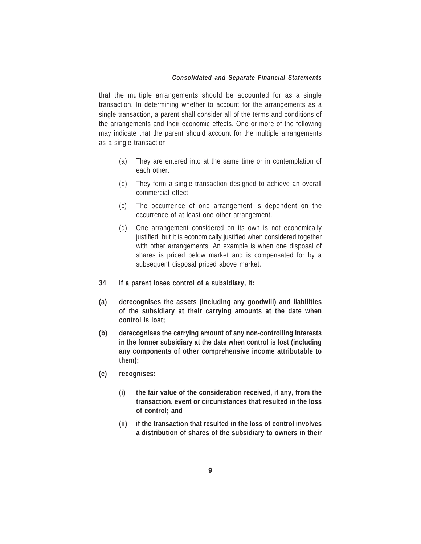that the multiple arrangements should be accounted for as a single transaction. In determining whether to account for the arrangements as a single transaction, a parent shall consider all of the terms and conditions of the arrangements and their economic effects. One or more of the following may indicate that the parent should account for the multiple arrangements as a single transaction:

- (a) They are entered into at the same time or in contemplation of each other.
- (b) They form a single transaction designed to achieve an overall commercial effect.
- (c) The occurrence of one arrangement is dependent on the occurrence of at least one other arrangement.
- (d) One arrangement considered on its own is not economically justified, but it is economically justified when considered together with other arrangements. An example is when one disposal of shares is priced below market and is compensated for by a subsequent disposal priced above market.
- **34 If a parent loses control of a subsidiary, it:**
- **(a) derecognises the assets (including any goodwill) and liabilities of the subsidiary at their carrying amounts at the date when control is lost;**
- **(b) derecognises the carrying amount of any non-controlling interests in the former subsidiary at the date when control is lost (including any components of other comprehensive income attributable to them);**
- **(c) recognises:**
	- **(i) the fair value of the consideration received, if any, from the transaction, event or circumstances that resulted in the loss of control; and**
	- **(ii) if the transaction that resulted in the loss of control involves a distribution of shares of the subsidiary to owners in their**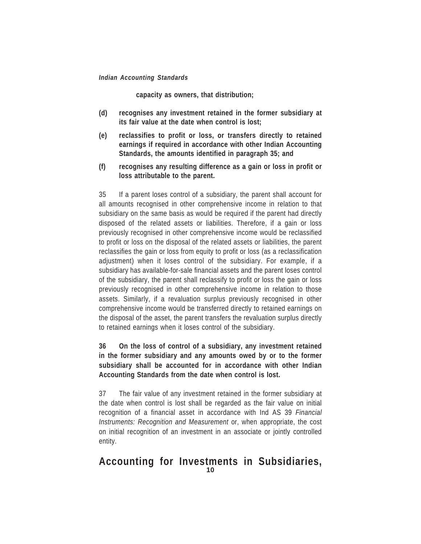**capacity as owners, that distribution;**

- **(d) recognises any investment retained in the former subsidiary at its fair value at the date when control is lost;**
- **(e) reclassifies to profit or loss, or transfers directly to retained earnings if required in accordance with other Indian Accounting Standards, the amounts identified in paragraph 35; and**
- **(f) recognises any resulting difference as a gain or loss in profit or loss attributable to the parent.**

35 If a parent loses control of a subsidiary, the parent shall account for all amounts recognised in other comprehensive income in relation to that subsidiary on the same basis as would be required if the parent had directly disposed of the related assets or liabilities. Therefore, if a gain or loss previously recognised in other comprehensive income would be reclassified to profit or loss on the disposal of the related assets or liabilities, the parent reclassifies the gain or loss from equity to profit or loss (as a reclassification adjustment) when it loses control of the subsidiary. For example, if a subsidiary has available-for-sale financial assets and the parent loses control of the subsidiary, the parent shall reclassify to profit or loss the gain or loss previously recognised in other comprehensive income in relation to those assets. Similarly, if a revaluation surplus previously recognised in other comprehensive income would be transferred directly to retained earnings on the disposal of the asset, the parent transfers the revaluation surplus directly to retained earnings when it loses control of the subsidiary.

## **36 On the loss of control of a subsidiary, any investment retained in the former subsidiary and any amounts owed by or to the former subsidiary shall be accounted for in accordance with other Indian Accounting Standards from the date when control is lost.**

37 The fair value of any investment retained in the former subsidiary at the date when control is lost shall be regarded as the fair value on initial recognition of a financial asset in accordance with Ind AS 39 *Financial Instruments: Recognition and Measurement* or, when appropriate, the cost on initial recognition of an investment in an associate or jointly controlled entity.

## **10 Accounting for Investments in Subsidiaries,**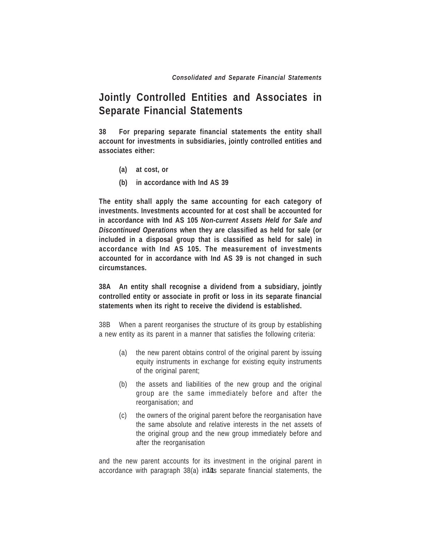# **Jointly Controlled Entities and Associates in Separate Financial Statements**

**38 For preparing separate financial statements the entity shall account for investments in subsidiaries, jointly controlled entities and associates either:**

- **(a) at cost, or**
- **(b) in accordance with Ind AS 39**

**The entity shall apply the same accounting for each category of investments. Investments accounted for at cost shall be accounted for in accordance with Ind AS 105** *Non-current Assets Held for Sale and Discontinued Operations* **when they are classified as held for sale (or included in a disposal group that is classified as held for sale) in accordance with Ind AS 105. The measurement of investments accounted for in accordance with Ind AS 39 is not changed in such circumstances.**

**38A An entity shall recognise a dividend from a subsidiary, jointly controlled entity or associate in profit or loss in its separate financial statements when its right to receive the dividend is established.**

38B When a parent reorganises the structure of its group by establishing a new entity as its parent in a manner that satisfies the following criteria:

- (a) the new parent obtains control of the original parent by issuing equity instruments in exchange for existing equity instruments of the original parent;
- (b) the assets and liabilities of the new group and the original group are the same immediately before and after the reorganisation; and
- (c) the owners of the original parent before the reorganisation have the same absolute and relative interests in the net assets of the original group and the new group immediately before and after the reorganisation

accordance with paragraph 38(a) in **1s** separate financial statements, the and the new parent accounts for its investment in the original parent in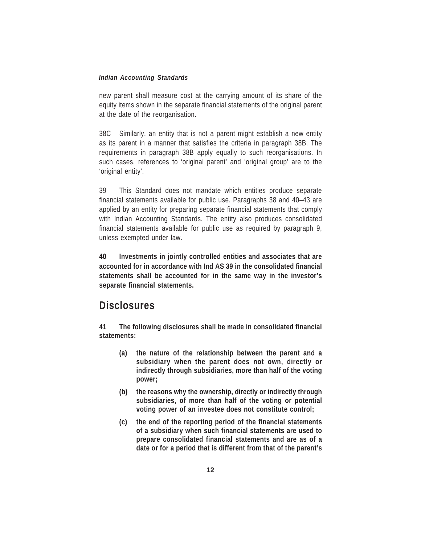new parent shall measure cost at the carrying amount of its share of the equity items shown in the separate financial statements of the original parent at the date of the reorganisation.

38C Similarly, an entity that is not a parent might establish a new entity as its parent in a manner that satisfies the criteria in paragraph 38B. The requirements in paragraph 38B apply equally to such reorganisations. In such cases, references to 'original parent' and 'original group' are to the 'original entity'.

39 This Standard does not mandate which entities produce separate financial statements available for public use. Paragraphs 38 and 40–43 are applied by an entity for preparing separate financial statements that comply with Indian Accounting Standards. The entity also produces consolidated financial statements available for public use as required by paragraph 9, unless exempted under law.

**40 Investments in jointly controlled entities and associates that are accounted for in accordance with Ind AS 39 in the consolidated financial statements shall be accounted for in the same way in the investor's separate financial statements.**

# **Disclosures**

**41 The following disclosures shall be made in consolidated financial statements:**

- **(a) the nature of the relationship between the parent and a subsidiary when the parent does not own, directly or indirectly through subsidiaries, more than half of the voting power;**
- **(b) the reasons why the ownership, directly or indirectly through subsidiaries, of more than half of the voting or potential voting power of an investee does not constitute control;**
- **(c) the end of the reporting period of the financial statements of a subsidiary when such financial statements are used to prepare consolidated financial statements and are as of a date or for a period that is different from that of the parent's**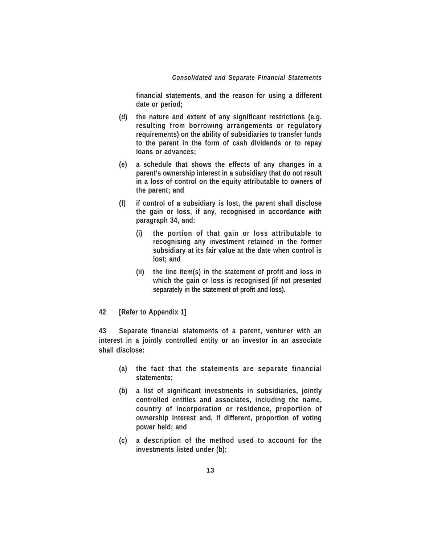**financial statements, and the reason for using a different date or period;**

- **(d) the nature and extent of any significant restrictions (e.g. resulting from borrowing arrangements or regulatory requirements) on the ability of subsidiaries to transfer funds to the parent in the form of cash dividends or to repay loans or advances;**
- **(e) a schedule that shows the effects of any changes in a parent's ownership interest in a subsidiary that do not result in a loss of control on the equity attributable to owners of the parent; and**
- **(f) if control of a subsidiary is lost, the parent shall disclose the gain or loss, if any, recognised in accordance with paragraph 34, and:**
	- **(i) the portion of that gain or loss attributable to recognising any investment retained in the former subsidiary at its fair value at the date when control is lost; and**
	- **(ii) the line item(s) in the statement of profit and loss in which the gain or loss is recognised (if not presented separately in the statement of profit and loss).**
- **42 [Refer to Appendix 1]**

**43 Separate financial statements of a parent, venturer with an interest in a jointly controlled entity or an investor in an associate shall disclose:**

- **(a) the fact that the statements are separate financial statements;**
- **(b) a list of significant investments in subsidiaries, jointly controlled entities and associates, including the name, country of incorporation or residence, proportion of ownership interest and, if different, proportion of voting power held; and**
- **(c) a description of the method used to account for the investments listed under (b);**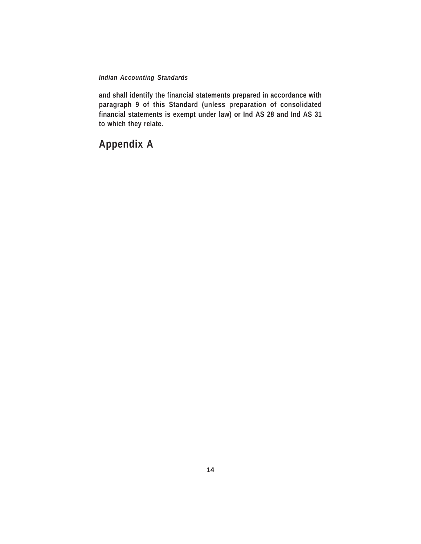**and shall identify the financial statements prepared in accordance with paragraph 9 of this Standard (unless preparation of consolidated financial statements is exempt under law) or Ind AS 28 and Ind AS 31 to which they relate.**

# **Appendix A**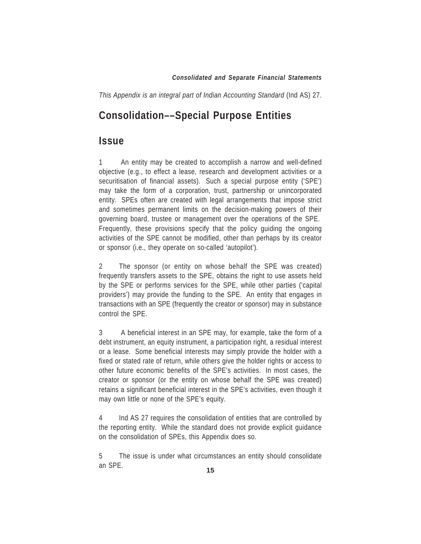*This Appendix is an integral part of Indian Accounting Standard* (Ind AS) 27.

# **Consolidation––Special Purpose Entities**

# **Issue**

1 An entity may be created to accomplish a narrow and well-defined objective (e.g., to effect a lease, research and development activities or a securitisation of financial assets). Such a special purpose entity ('SPE') may take the form of a corporation, trust, partnership or unincorporated entity. SPEs often are created with legal arrangements that impose strict and sometimes permanent limits on the decision-making powers of their governing board, trustee or management over the operations of the SPE. Frequently, these provisions specify that the policy guiding the ongoing activities of the SPE cannot be modified, other than perhaps by its creator or sponsor (i.e., they operate on so-called 'autopilot').

2 The sponsor (or entity on whose behalf the SPE was created) frequently transfers assets to the SPE, obtains the right to use assets held by the SPE or performs services for the SPE, while other parties ('capital providers') may provide the funding to the SPE. An entity that engages in transactions with an SPE (frequently the creator or sponsor) may in substance control the SPE.

3 A beneficial interest in an SPE may, for example, take the form of a debt instrument, an equity instrument, a participation right, a residual interest or a lease. Some beneficial interests may simply provide the holder with a fixed or stated rate of return, while others give the holder rights or access to other future economic benefits of the SPE's activities. In most cases, the creator or sponsor (or the entity on whose behalf the SPE was created) retains a significant beneficial interest in the SPE's activities, even though it may own little or none of the SPE's equity.

4 Ind AS 27 requires the consolidation of entities that are controlled by the reporting entity. While the standard does not provide explicit guidance on the consolidation of SPEs, this Appendix does so.

5 The issue is under what circumstances an entity should consolidate an SPE.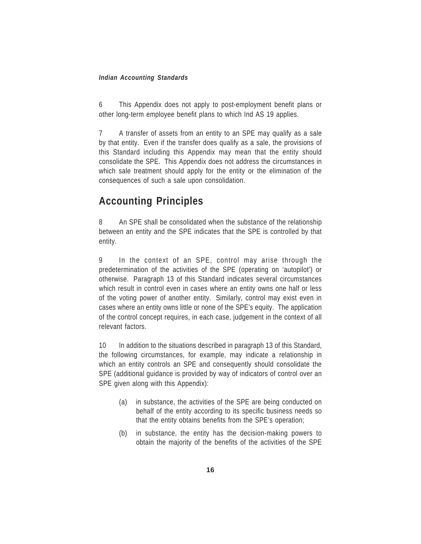6 This Appendix does not apply to post-employment benefit plans or other long-term employee benefit plans to which Ind AS 19 applies.

7 A transfer of assets from an entity to an SPE may qualify as a sale by that entity. Even if the transfer does qualify as a sale, the provisions of this Standard including this Appendix may mean that the entity should consolidate the SPE. This Appendix does not address the circumstances in which sale treatment should apply for the entity or the elimination of the consequences of such a sale upon consolidation.

# **Accounting Principles**

8 An SPE shall be consolidated when the substance of the relationship between an entity and the SPE indicates that the SPE is controlled by that entity.

9 In the context of an SPE, control may arise through the predetermination of the activities of the SPE (operating on 'autopilot') or otherwise. Paragraph 13 of this Standard indicates several circumstances which result in control even in cases where an entity owns one half or less of the voting power of another entity. Similarly, control may exist even in cases where an entity owns little or none of the SPE's equity. The application of the control concept requires, in each case, judgement in the context of all relevant factors.

10 In addition to the situations described in paragraph 13 of this Standard, the following circumstances, for example, may indicate a relationship in which an entity controls an SPE and consequently should consolidate the SPE (additional guidance is provided by way of indicators of control over an SPE given along with this Appendix):

- (a) in substance, the activities of the SPE are being conducted on behalf of the entity according to its specific business needs so that the entity obtains benefits from the SPE's operation;
- (b) in substance, the entity has the decision-making powers to obtain the majority of the benefits of the activities of the SPE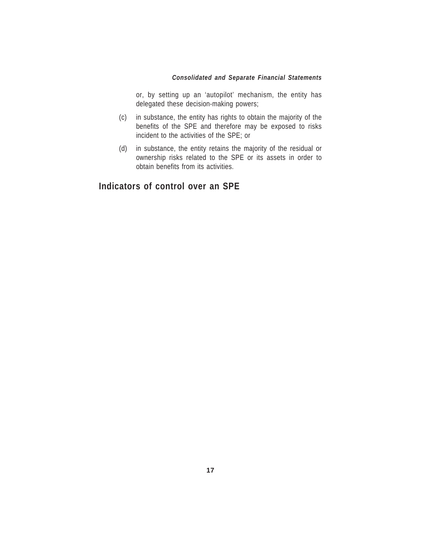or, by setting up an 'autopilot' mechanism, the entity has delegated these decision-making powers;

- (c) in substance, the entity has rights to obtain the majority of the benefits of the SPE and therefore may be exposed to risks incident to the activities of the SPE; or
- (d) in substance, the entity retains the majority of the residual or ownership risks related to the SPE or its assets in order to obtain benefits from its activities.

# **Indicators of control over an SPE**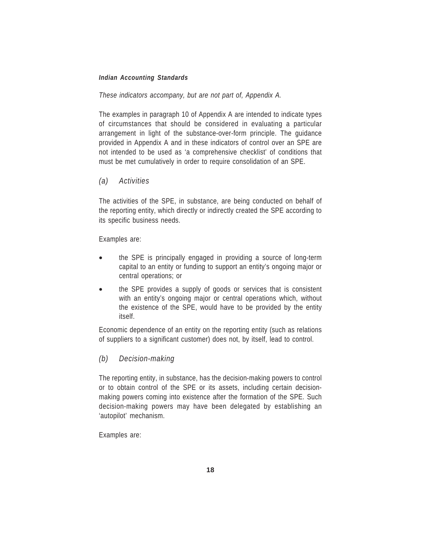### *These indicators accompany, but are not part of, Appendix A.*

The examples in paragraph 10 of Appendix A are intended to indicate types of circumstances that should be considered in evaluating a particular arrangement in light of the substance-over-form principle. The guidance provided in Appendix A and in these indicators of control over an SPE are not intended to be used as 'a comprehensive checklist' of conditions that must be met cumulatively in order to require consolidation of an SPE.

## *(a) Activities*

The activities of the SPE, in substance, are being conducted on behalf of the reporting entity, which directly or indirectly created the SPE according to its specific business needs.

Examples are:

- the SPE is principally engaged in providing a source of long-term capital to an entity or funding to support an entity's ongoing major or central operations; or
- the SPE provides a supply of goods or services that is consistent with an entity's ongoing major or central operations which, without the existence of the SPE, would have to be provided by the entity itself.

Economic dependence of an entity on the reporting entity (such as relations of suppliers to a significant customer) does not, by itself, lead to control.

### *(b) Decision-making*

The reporting entity, in substance, has the decision-making powers to control or to obtain control of the SPE or its assets, including certain decisionmaking powers coming into existence after the formation of the SPE. Such decision-making powers may have been delegated by establishing an 'autopilot' mechanism.

Examples are: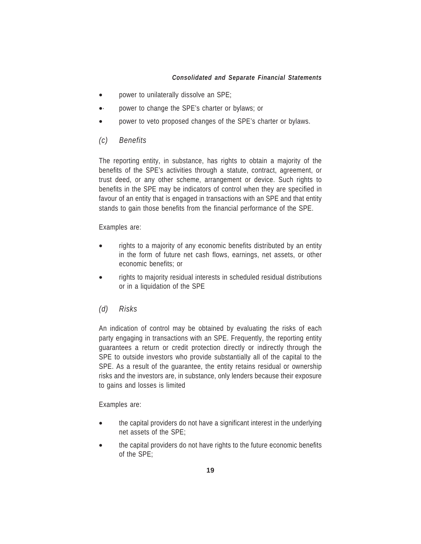- power to unilaterally dissolve an SPE;
- •· power to change the SPE's charter or bylaws; or
- power to veto proposed changes of the SPE's charter or bylaws.

## *(c) Benefits*

The reporting entity, in substance, has rights to obtain a majority of the benefits of the SPE's activities through a statute, contract, agreement, or trust deed, or any other scheme, arrangement or device. Such rights to benefits in the SPE may be indicators of control when they are specified in favour of an entity that is engaged in transactions with an SPE and that entity stands to gain those benefits from the financial performance of the SPE.

Examples are:

- rights to a majority of any economic benefits distributed by an entity in the form of future net cash flows, earnings, net assets, or other economic benefits; or
- rights to majority residual interests in scheduled residual distributions or in a liquidation of the SPE

# *(d) Risks*

An indication of control may be obtained by evaluating the risks of each party engaging in transactions with an SPE. Frequently, the reporting entity guarantees a return or credit protection directly or indirectly through the SPE to outside investors who provide substantially all of the capital to the SPE. As a result of the guarantee, the entity retains residual or ownership risks and the investors are, in substance, only lenders because their exposure to gains and losses is limited

Examples are:

- the capital providers do not have a significant interest in the underlying net assets of the SPE;
- the capital providers do not have rights to the future economic benefits of the SPE;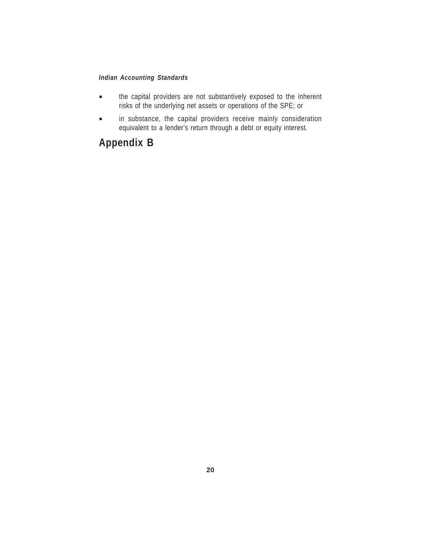- the capital providers are not substantively exposed to the inherent risks of the underlying net assets or operations of the SPE; or
- in substance, the capital providers receive mainly consideration equivalent to a lender's return through a debt or equity interest.

# **Appendix B**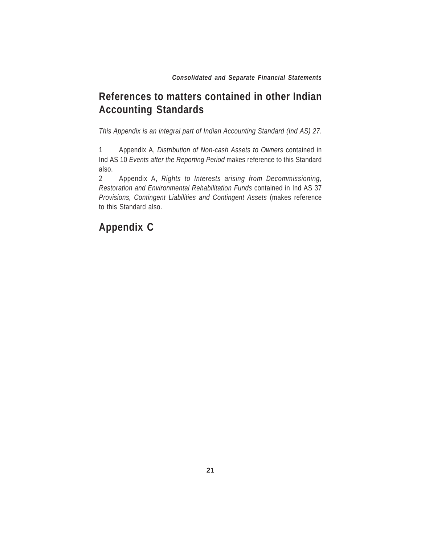# **References to matters contained in other Indian Accounting Standards**

*This Appendix is an integral part of Indian Accounting Standard (Ind AS) 27*.

1 Appendix A, *Distribution of Non-cash Assets to Owners* contained in Ind AS 10 *Events after the Reporting Period* makes reference to this Standard also.

2 Appendix A, *Rights to Interests arising from Decommissioning, Restoration and Environmental Rehabilitation Funds* contained in Ind AS 37 *Provisions, Contingent Liabilities and Contingent Assets* (makes reference to this Standard also.

# **Appendix C**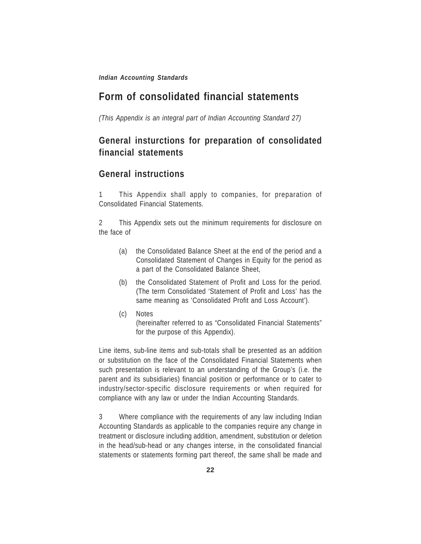# **Form of consolidated financial statements**

*(This Appendix is an integral part of Indian Accounting Standard 27)*

# **General insturctions for preparation of consolidated financial statements**

## **General instructions**

1 This Appendix shall apply to companies, for preparation of Consolidated Financial Statements.

2 This Appendix sets out the minimum requirements for disclosure on the face of

- (a) the Consolidated Balance Sheet at the end of the period and a Consolidated Statement of Changes in Equity for the period as a part of the Consolidated Balance Sheet,
- (b) the Consolidated Statement of Profit and Loss for the period. (The term Consolidated 'Statement of Profit and Loss' has the same meaning as 'Consolidated Profit and Loss Account').
- (c) Notes (hereinafter referred to as "Consolidated Financial Statements" for the purpose of this Appendix).

Line items, sub-line items and sub-totals shall be presented as an addition or substitution on the face of the Consolidated Financial Statements when such presentation is relevant to an understanding of the Group's (i.e. the parent and its subsidiaries) financial position or performance or to cater to industry/sector-specific disclosure requirements or when required for compliance with any law or under the Indian Accounting Standards.

3 Where compliance with the requirements of any law including Indian Accounting Standards as applicable to the companies require any change in treatment or disclosure including addition, amendment, substitution or deletion in the head/sub-head or any changes interse, in the consolidated financial statements or statements forming part thereof, the same shall be made and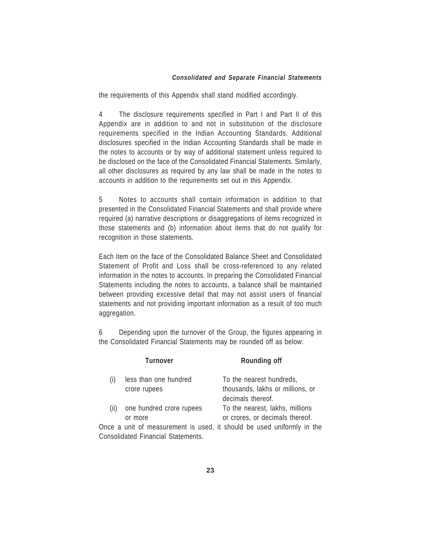the requirements of this Appendix shall stand modified accordingly.

The disclosure requirements specified in Part I and Part II of this Appendix are in addition to and not in substitution of the disclosure requirements specified in the Indian Accounting Standards. Additional disclosures specified in the Indian Accounting Standards shall be made in the notes to accounts or by way of additional statement unless required to be disclosed on the face of the Consolidated Financial Statements. Similarly, all other disclosures as required by any law shall be made in the notes to accounts in addition to the requirements set out in this Appendix.

5 Notes to accounts shall contain information in addition to that presented in the Consolidated Financial Statements and shall provide where required (a) narrative descriptions or disaggregations of items recognized in those statements and (b) information about items that do not qualify for recognition in those statements.

Each item on the face of the Consolidated Balance Sheet and Consolidated Statement of Profit and Loss shall be cross-referenced to any related information in the notes to accounts. In preparing the Consolidated Financial Statements including the notes to accounts, a balance shall be maintained between providing excessive detail that may not assist users of financial statements and not providing important information as a result of too much aggregation.

6 Depending upon the turnover of the Group, the figures appearing in the Consolidated Financial Statements may be rounded off as below:

|      | Turnover                                  | <b>Rounding off</b>                                                    |
|------|-------------------------------------------|------------------------------------------------------------------------|
| (i)  | less than one hundred                     | To the nearest hundreds,                                               |
|      | crore rupees                              | thousands, lakhs or millions, or<br>decimals thereof.                  |
| (ii) | one hundred crore rupees                  | To the nearest, lakhs, millions                                        |
|      | or more                                   | or crores, or decimals thereof.                                        |
|      |                                           | Once a unit of measurement is used, it should be used uniformly in the |
|      | <b>Consolidated Financial Statements.</b> |                                                                        |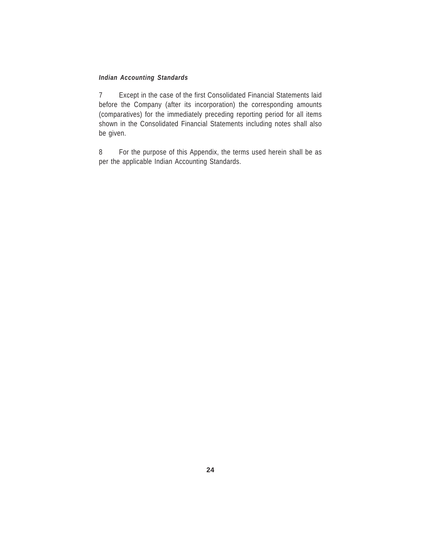7 Except in the case of the first Consolidated Financial Statements laid before the Company (after its incorporation) the corresponding amounts (comparatives) for the immediately preceding reporting period for all items shown in the Consolidated Financial Statements including notes shall also be given.

8 For the purpose of this Appendix, the terms used herein shall be as per the applicable Indian Accounting Standards.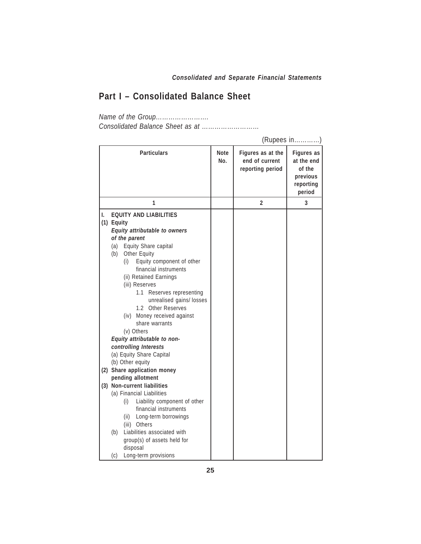# **Part I – Consolidated Balance Sheet**

*Name of the Group……………………. Consolidated Balance Sheet as at ………………………*

|                                | <b>Particulars</b>                                                                                                                                                                                                                                                                                                                                                                                                                                                                                                                                                           | Note<br>No. | Figures as at the<br>end of current<br>reporting period | Figures as<br>at the end<br>of the<br>previous<br>reporting<br>period |
|--------------------------------|------------------------------------------------------------------------------------------------------------------------------------------------------------------------------------------------------------------------------------------------------------------------------------------------------------------------------------------------------------------------------------------------------------------------------------------------------------------------------------------------------------------------------------------------------------------------------|-------------|---------------------------------------------------------|-----------------------------------------------------------------------|
|                                | 1                                                                                                                                                                                                                                                                                                                                                                                                                                                                                                                                                                            |             | 2                                                       | 3                                                                     |
| I.<br>(1) Equity<br>(a)<br>(b) | <b>EQUITY AND LIABILITIES</b><br>Equity attributable to owners<br>of the parent<br>Equity Share capital<br>Other Equity<br>Equity component of other<br>(i)<br>financial instruments<br>(ii) Retained Earnings<br>(iii) Reserves<br>1.1 Reserves representing<br>unrealised gains/ losses<br>1.2 Other Reserves<br>(iv)<br>Money received against<br>share warrants<br>(v) Others<br>Equity attributable to non-<br>controlling Interests<br>(a) Equity Share Capital<br>(b) Other equity<br>(2) Share application money<br>pending allotment<br>(3) Non-current liabilities |             |                                                         |                                                                       |
| (b)<br>(c)                     | (a) Financial Liabilities<br>Liability component of other<br>(i)<br>financial instruments<br>(ii)<br>Long-term borrowings<br>(iii)<br>Others<br>Liabilities associated with<br>group(s) of assets held for<br>disposal<br>Long-term provisions                                                                                                                                                                                                                                                                                                                               |             |                                                         |                                                                       |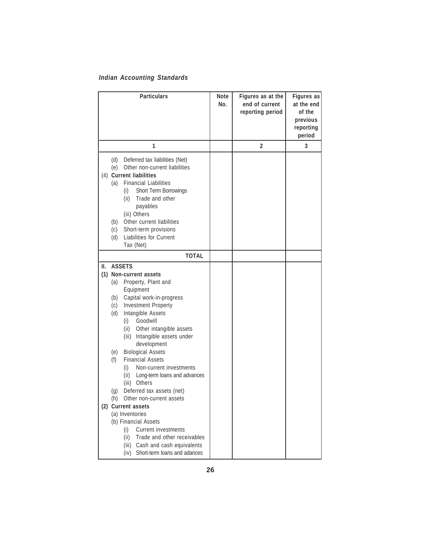| Figures as at the<br>Figures as |
|---------------------------------|
| end of current<br>at the end    |
| of the<br>reporting period      |
| previous                        |
| reporting                       |
| period                          |
| $\overline{2}$<br>3             |
|                                 |
|                                 |
|                                 |
|                                 |
|                                 |
|                                 |
|                                 |
|                                 |
|                                 |
|                                 |
|                                 |
|                                 |
|                                 |
|                                 |
|                                 |
|                                 |
|                                 |
|                                 |
|                                 |
|                                 |
|                                 |
|                                 |
|                                 |
|                                 |
|                                 |
|                                 |
|                                 |
|                                 |
|                                 |
|                                 |
|                                 |
|                                 |
|                                 |
|                                 |
|                                 |
|                                 |
|                                 |
|                                 |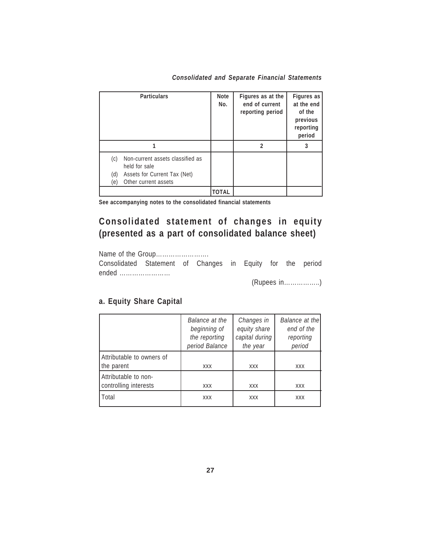*Consolidated and Separate Financial Statements*

| <b>Particulars</b>                                                                                                             | <b>Note</b><br>No. | Figures as at the<br>end of current<br>reporting period | Figures as<br>at the end<br>of the<br>previous<br>reporting<br>period |
|--------------------------------------------------------------------------------------------------------------------------------|--------------------|---------------------------------------------------------|-----------------------------------------------------------------------|
|                                                                                                                                |                    | $\mathfrak z$                                           | 3                                                                     |
| Non-current assets classified as<br>(c)<br>held for sale<br>Assets for Current Tax (Net)<br>(d)<br>Other current assets<br>(e) |                    |                                                         |                                                                       |
|                                                                                                                                | ΤΟΤΑL              |                                                         |                                                                       |

**See accompanying notes to the consolidated financial statements**

# **Consolidated statement of changes in equity (presented as a part of consolidated balance sheet)**

Name of the Group……………………. Consolidated Statement of Changes in Equity for the period ended ……………………

(Rupees in……………..)

## **a. Equity Share Capital**

|                                               | Balance at the<br>beginning of<br>the reporting<br>period Balance | Changes in<br>equity share<br>capital during<br>the year | Balance at the<br>end of the<br>reporting<br>period |
|-----------------------------------------------|-------------------------------------------------------------------|----------------------------------------------------------|-----------------------------------------------------|
| Attributable to owners of<br>the parent       | XXX                                                               | XXX                                                      | XXX                                                 |
| Attributable to non-<br>controlling interests | XXX                                                               | <b>XXX</b>                                               | XXX                                                 |
| Total                                         | <b>XXX</b>                                                        | <b>XXX</b>                                               | XXX                                                 |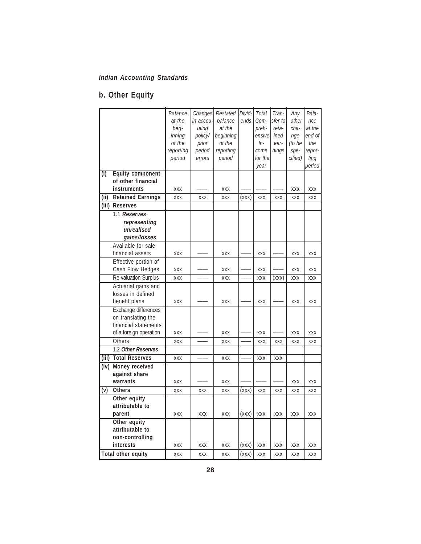# **b. Other Equity**

|                           |                          | <b>Balance</b> | Changes   | Restated   | Divid- | <b>Total</b> | Tran-      | Any        | Bala-      |
|---------------------------|--------------------------|----------------|-----------|------------|--------|--------------|------------|------------|------------|
|                           |                          | at the         | in accou- | balance    | ends   | Com-         | sfer to    | other      | nce        |
|                           |                          | beg-           | uting     | at the     |        | preh-        | reta-      | cha-       | at the     |
|                           |                          | inning         | policy/   | beginning  |        | ensive       | ined       | nge        | end of     |
|                           |                          | of the         | prior     | of the     |        | ln-          | ear-       | (to be     | the        |
|                           |                          | reporting      | period    | reporting  |        | come         | nings      | spe-       | repor-     |
|                           |                          | period         | errors    | period     |        | for the      |            | cified)    | ting       |
|                           |                          |                |           |            |        | year         |            |            | period     |
| $\overline{(\mathsf{i})}$ | <b>Equity component</b>  |                |           |            |        |              |            |            |            |
|                           | of other financial       |                |           |            |        |              |            |            |            |
|                           | <b>instruments</b>       | <b>XXX</b>     |           | <b>XXX</b> |        |              |            | <b>XXX</b> | <b>XXX</b> |
| (i)                       | <b>Retained Earnings</b> | XXX            | XXX       | XXX        | (ххх)  | XXX          | XXX        | XXX        | XXX        |
| (iii)                     | <b>Reserves</b>          |                |           |            |        |              |            |            |            |
|                           | 1.1 Reserves             |                |           |            |        |              |            |            |            |
|                           | representing             |                |           |            |        |              |            |            |            |
|                           | unrealised               |                |           |            |        |              |            |            |            |
|                           | gains/losses             |                |           |            |        |              |            |            |            |
|                           | Available for sale       |                |           |            |        |              |            |            |            |
|                           | financial assets         | XXX            |           | XXX        |        | XXX          |            | XXX        | XXX        |
|                           | Effective portion of     |                |           |            |        |              |            |            |            |
|                           | Cash Flow Hedges         | XXX            |           | <b>XXX</b> |        | <b>XXX</b>   |            | <b>XXX</b> | XXX        |
|                           | Re-valuation Surplus     | XXX            |           | XXX        |        | XXX          |            | XXX        | XXX        |
|                           |                          |                |           |            |        |              | (xxx)      |            |            |
|                           | Actuarial gains and      |                |           |            |        |              |            |            |            |
|                           | losses in defined        |                |           |            |        |              |            |            |            |
|                           | benefit plans            | XXX            |           | XXX        |        | XXX          |            | XXX        | XXX        |
|                           | Exchange differences     |                |           |            |        |              |            |            |            |
|                           | on translating the       |                |           |            |        |              |            |            |            |
|                           | financial statements     |                |           |            |        |              |            |            |            |
|                           | of a foreign operation   | XXX            |           | XXX        |        | XXX          |            | XXX        | XXX        |
|                           | Others                   | XXX            |           | XXX        |        | XXX          | XXX        | XXX        | XXX        |
|                           | 1.2 Other Reserves       |                |           |            |        |              |            |            |            |
| (iii)                     | <b>Total Reserves</b>    | XXX            |           | XXX        |        | XXX          | XXX        |            |            |
| (iv)                      | Money received           |                |           |            |        |              |            |            |            |
|                           | against share            |                |           |            |        |              |            |            |            |
|                           | warrants                 | XXX            |           | XXX        |        |              |            | XXX        | XXX        |
| (v)                       | <b>Others</b>            | XXX            | XXX       | XXX        | (xxx)  | <b>XXX</b>   | <b>XXX</b> | XXX        | XXX        |
|                           | Other equity             |                |           |            |        |              |            |            |            |
|                           | attributable to          |                |           |            |        |              |            |            |            |
|                           | parent                   | XXX            | XXX       | XXX        | (xxx)  | XXX          | XXX        | XXX        | XXX        |
|                           | Other equity             |                |           |            |        |              |            |            |            |
|                           | attributable to          |                |           |            |        |              |            |            |            |
|                           | non-controlling          |                |           |            |        |              |            |            |            |
|                           | <b>interests</b>         | XXX            | XXX       | XXX        | (xxx)  | XXX          | XXX        | XXX        | XXX        |
|                           | Total other equity       | XXX            | XXX       | XXX        | (xxx)  | XXX          | XXX        | XXX        | XXX        |
|                           |                          |                |           |            |        |              |            |            |            |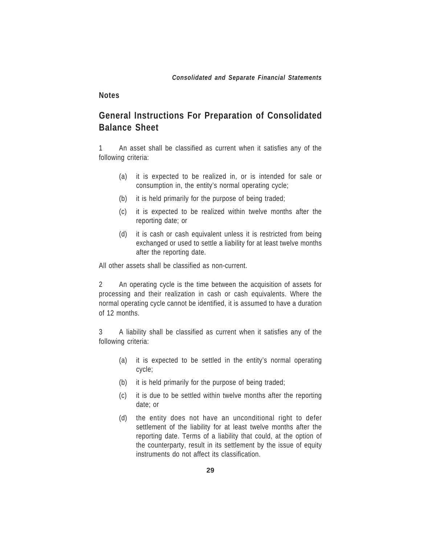**Notes**

# **General Instructions For Preparation of Consolidated Balance Sheet**

1 An asset shall be classified as current when it satisfies any of the following criteria:

- (a) it is expected to be realized in, or is intended for sale or consumption in, the entity's normal operating cycle;
- (b) it is held primarily for the purpose of being traded;
- (c) it is expected to be realized within twelve months after the reporting date; or
- (d) it is cash or cash equivalent unless it is restricted from being exchanged or used to settle a liability for at least twelve months after the reporting date.

All other assets shall be classified as non-current.

2 An operating cycle is the time between the acquisition of assets for processing and their realization in cash or cash equivalents. Where the normal operating cycle cannot be identified, it is assumed to have a duration of 12 months.

3 A liability shall be classified as current when it satisfies any of the following criteria:

- (a) it is expected to be settled in the entity's normal operating cycle;
- (b) it is held primarily for the purpose of being traded;
- (c) it is due to be settled within twelve months after the reporting date; or
- (d) the entity does not have an unconditional right to defer settlement of the liability for at least twelve months after the reporting date. Terms of a liability that could, at the option of the counterparty, result in its settlement by the issue of equity instruments do not affect its classification.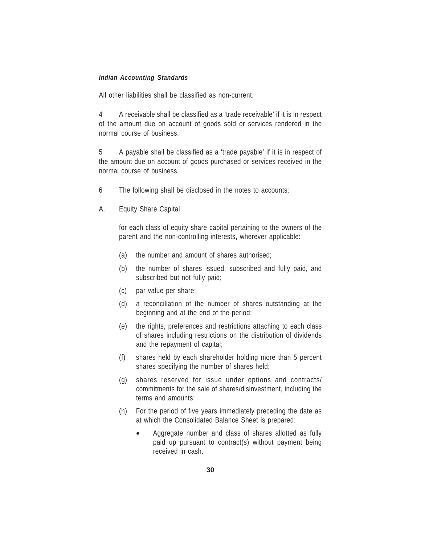All other liabilities shall be classified as non-current.

4 A receivable shall be classified as a 'trade receivable' if it is in respect of the amount due on account of goods sold or services rendered in the normal course of business.

5 A payable shall be classified as a 'trade payable' if it is in respect of the amount due on account of goods purchased or services received in the normal course of business.

- 6 The following shall be disclosed in the notes to accounts:
- A. Equity Share Capital

for each class of equity share capital pertaining to the owners of the parent and the non-controlling interests, wherever applicable:

- (a) the number and amount of shares authorised;
- (b) the number of shares issued, subscribed and fully paid, and subscribed but not fully paid;
- (c) par value per share;
- (d) a reconciliation of the number of shares outstanding at the beginning and at the end of the period;
- (e) the rights, preferences and restrictions attaching to each class of shares including restrictions on the distribution of dividends and the repayment of capital;
- (f) shares held by each shareholder holding more than 5 percent shares specifying the number of shares held;
- (g) shares reserved for issue under options and contracts/ commitments for the sale of shares/disinvestment, including the terms and amounts;
- (h) For the period of five years immediately preceding the date as at which the Consolidated Balance Sheet is prepared:
	- Aggregate number and class of shares allotted as fully paid up pursuant to contract(s) without payment being received in cash.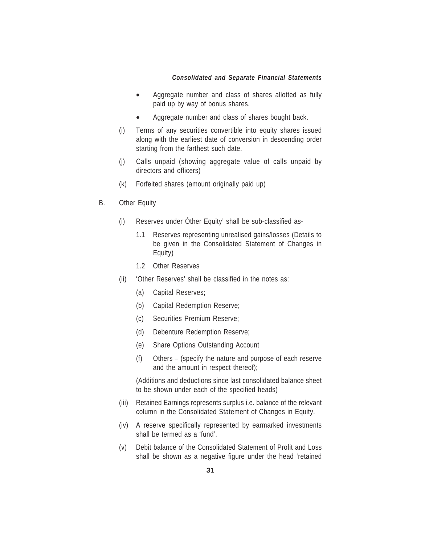- Aggregate number and class of shares allotted as fully paid up by way of bonus shares.
- Aggregate number and class of shares bought back.
- (i) Terms of any securities convertible into equity shares issued along with the earliest date of conversion in descending order starting from the farthest such date.
- (j) Calls unpaid (showing aggregate value of calls unpaid by directors and officers)
- (k) Forfeited shares (amount originally paid up)
- B. Other Equity
	- (i) Reserves under Óther Equity' shall be sub-classified as-
		- 1.1 Reserves representing unrealised gains/losses (Details to be given in the Consolidated Statement of Changes in Equity)
		- 1.2 Other Reserves
	- (ii) 'Other Reserves' shall be classified in the notes as:
		- (a) Capital Reserves;
		- (b) Capital Redemption Reserve;
		- (c) Securities Premium Reserve;
		- (d) Debenture Redemption Reserve;
		- (e) Share Options Outstanding Account
		- (f) Others (specify the nature and purpose of each reserve and the amount in respect thereof);

(Additions and deductions since last consolidated balance sheet to be shown under each of the specified heads)

- (iii) Retained Earnings represents surplus i.e. balance of the relevant column in the Consolidated Statement of Changes in Equity.
- (iv) A reserve specifically represented by earmarked investments shall be termed as a 'fund'.
- (v) Debit balance of the Consolidated Statement of Profit and Loss shall be shown as a negative figure under the head 'retained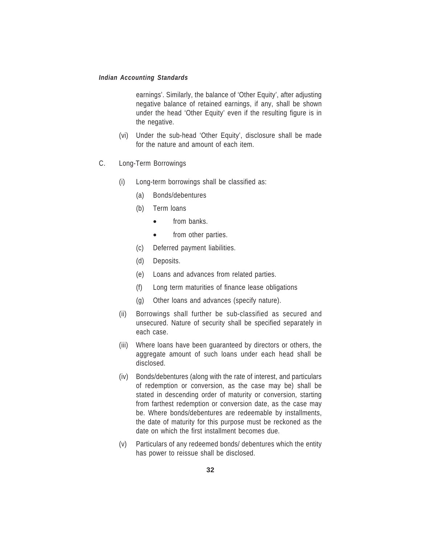earnings'. Similarly, the balance of 'Other Equity', after adjusting negative balance of retained earnings, if any, shall be shown under the head 'Other Equity' even if the resulting figure is in the negative.

- (vi) Under the sub-head 'Other Equity', disclosure shall be made for the nature and amount of each item.
- C. Long-Term Borrowings
	- (i) Long-term borrowings shall be classified as:
		- (a) Bonds/debentures
		- (b) Term loans
			- from banks.
			- from other parties.
		- (c) Deferred payment liabilities.
		- (d) Deposits.
		- (e) Loans and advances from related parties.
		- (f) Long term maturities of finance lease obligations
		- (g) Other loans and advances (specify nature).
	- (ii) Borrowings shall further be sub-classified as secured and unsecured. Nature of security shall be specified separately in each case.
	- (iii) Where loans have been guaranteed by directors or others, the aggregate amount of such loans under each head shall be disclosed.
	- (iv) Bonds/debentures (along with the rate of interest, and particulars of redemption or conversion, as the case may be) shall be stated in descending order of maturity or conversion, starting from farthest redemption or conversion date, as the case may be. Where bonds/debentures are redeemable by installments, the date of maturity for this purpose must be reckoned as the date on which the first installment becomes due.
	- (v) Particulars of any redeemed bonds/ debentures which the entity has power to reissue shall be disclosed.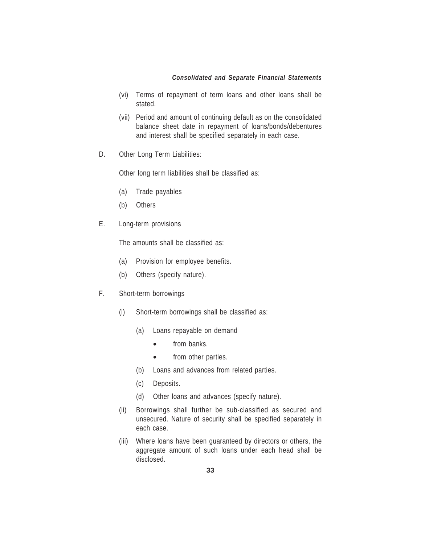- (vi) Terms of repayment of term loans and other loans shall be stated.
- (vii) Period and amount of continuing default as on the consolidated balance sheet date in repayment of loans/bonds/debentures and interest shall be specified separately in each case.
- D. Other Long Term Liabilities:

Other long term liabilities shall be classified as:

- (a) Trade payables
- (b) Others
- E. Long-term provisions

The amounts shall be classified as:

- (a) Provision for employee benefits.
- (b) Others (specify nature).
- F. Short-term borrowings
	- (i) Short-term borrowings shall be classified as:
		- (a) Loans repayable on demand
			- from banks.
			- from other parties.
		- (b) Loans and advances from related parties.
		- (c) Deposits.
		- (d) Other loans and advances (specify nature).
	- (ii) Borrowings shall further be sub-classified as secured and unsecured. Nature of security shall be specified separately in each case.
	- (iii) Where loans have been guaranteed by directors or others, the aggregate amount of such loans under each head shall be disclosed.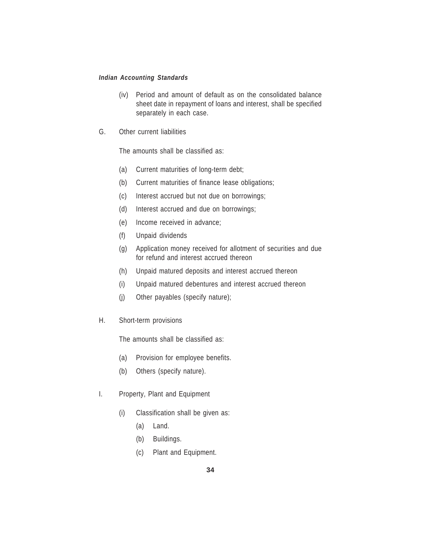- (iv) Period and amount of default as on the consolidated balance sheet date in repayment of loans and interest, shall be specified separately in each case.
- G. Other current liabilities

The amounts shall be classified as:

- (a) Current maturities of long-term debt;
- (b) Current maturities of finance lease obligations;
- (c) Interest accrued but not due on borrowings;
- (d) Interest accrued and due on borrowings;
- (e) Income received in advance;
- (f) Unpaid dividends
- (g) Application money received for allotment of securities and due for refund and interest accrued thereon
- (h) Unpaid matured deposits and interest accrued thereon
- (i) Unpaid matured debentures and interest accrued thereon
- (j) Other payables (specify nature);
- H. Short-term provisions

The amounts shall be classified as:

- (a) Provision for employee benefits.
- (b) Others (specify nature).
- I. Property, Plant and Equipment
	- (i) Classification shall be given as:
		- (a) Land.
		- (b) Buildings.
		- (c) Plant and Equipment.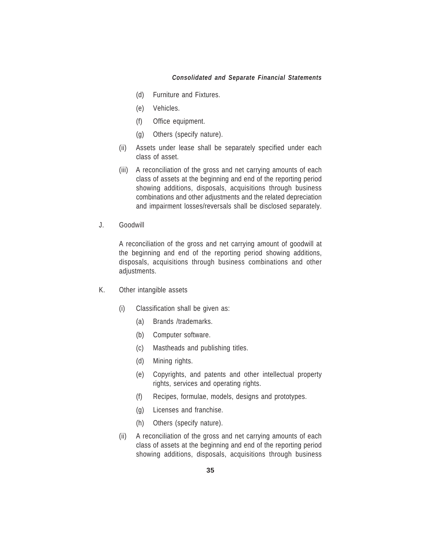- (d) Furniture and Fixtures.
- (e) Vehicles.
- (f) Office equipment.
- (g) Others (specify nature).
- (ii) Assets under lease shall be separately specified under each class of asset.
- (iii) A reconciliation of the gross and net carrying amounts of each class of assets at the beginning and end of the reporting period showing additions, disposals, acquisitions through business combinations and other adjustments and the related depreciation and impairment losses/reversals shall be disclosed separately.
- J. Goodwill

A reconciliation of the gross and net carrying amount of goodwill at the beginning and end of the reporting period showing additions, disposals, acquisitions through business combinations and other adjustments.

- K. Other intangible assets
	- (i) Classification shall be given as:
		- (a) Brands /trademarks.
		- (b) Computer software.
		- (c) Mastheads and publishing titles.
		- (d) Mining rights.
		- (e) Copyrights, and patents and other intellectual property rights, services and operating rights.
		- (f) Recipes, formulae, models, designs and prototypes.
		- (g) Licenses and franchise.
		- (h) Others (specify nature).
	- (ii) A reconciliation of the gross and net carrying amounts of each class of assets at the beginning and end of the reporting period showing additions, disposals, acquisitions through business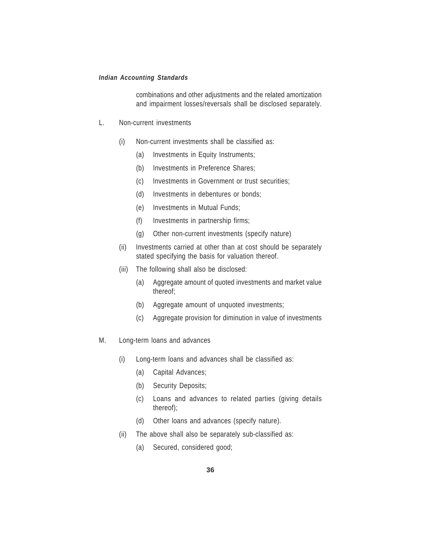combinations and other adjustments and the related amortization and impairment losses/reversals shall be disclosed separately.

- L. Non-current investments
	- (i) Non-current investments shall be classified as:
		- (a) Investments in Equity Instruments;
		- (b) Investments in Preference Shares;
		- (c) Investments in Government or trust securities;
		- (d) Investments in debentures or bonds;
		- (e) Investments in Mutual Funds;
		- (f) Investments in partnership firms;
		- (g) Other non-current investments (specify nature)
	- (ii) Investments carried at other than at cost should be separately stated specifying the basis for valuation thereof.
	- (iii) The following shall also be disclosed:
		- (a) Aggregate amount of quoted investments and market value thereof;
		- (b) Aggregate amount of unquoted investments;
		- (c) Aggregate provision for diminution in value of investments
- M. Long-term loans and advances
	- (i) Long-term loans and advances shall be classified as:
		- (a) Capital Advances;
		- (b) Security Deposits;
		- (c) Loans and advances to related parties (giving details thereof);
		- (d) Other loans and advances (specify nature).
	- (ii) The above shall also be separately sub-classified as:
		- (a) Secured, considered good;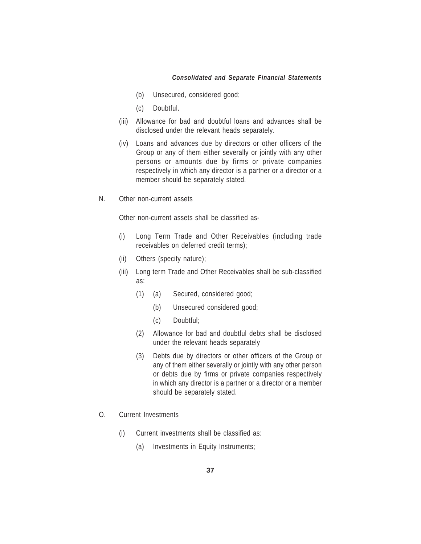- (b) Unsecured, considered good;
- (c) Doubtful.
- (iii) Allowance for bad and doubtful loans and advances shall be disclosed under the relevant heads separately.
- (iv) Loans and advances due by directors or other officers of the Group or any of them either severally or jointly with any other persons or amounts due by firms or private companies respectively in which any director is a partner or a director or a member should be separately stated.
- N. Other non-current assets

Other non-current assets shall be classified as-

- (i) Long Term Trade and Other Receivables (including trade receivables on deferred credit terms);
- (ii) Others (specify nature);
- (iii) Long term Trade and Other Receivables shall be sub-classified as:
	- (1) (a) Secured, considered good;
		- (b) Unsecured considered good;
		- (c) Doubtful;
	- (2) Allowance for bad and doubtful debts shall be disclosed under the relevant heads separately
	- (3) Debts due by directors or other officers of the Group or any of them either severally or jointly with any other person or debts due by firms or private companies respectively in which any director is a partner or a director or a member should be separately stated.
- O. Current Investments
	- (i) Current investments shall be classified as:
		- (a) Investments in Equity Instruments;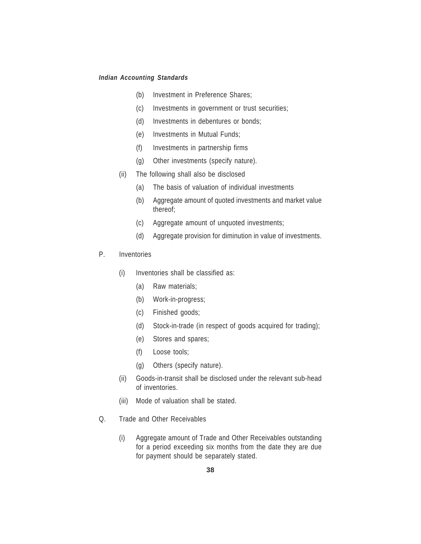- (b) Investment in Preference Shares;
- (c) Investments in government or trust securities;
- (d) Investments in debentures or bonds;
- (e) Investments in Mutual Funds;
- (f) Investments in partnership firms
- (g) Other investments (specify nature).
- (ii) The following shall also be disclosed
	- (a) The basis of valuation of individual investments
	- (b) Aggregate amount of quoted investments and market value thereof;
	- (c) Aggregate amount of unquoted investments;
	- (d) Aggregate provision for diminution in value of investments.
- P. Inventories
	- (i) Inventories shall be classified as:
		- (a) Raw materials;
		- (b) Work-in-progress;
		- (c) Finished goods;
		- (d) Stock-in-trade (in respect of goods acquired for trading);
		- (e) Stores and spares;
		- (f) Loose tools;
		- (g) Others (specify nature).
	- (ii) Goods-in-transit shall be disclosed under the relevant sub-head of inventories.
	- (iii) Mode of valuation shall be stated.
- Q. Trade and Other Receivables
	- (i) Aggregate amount of Trade and Other Receivables outstanding for a period exceeding six months from the date they are due for payment should be separately stated.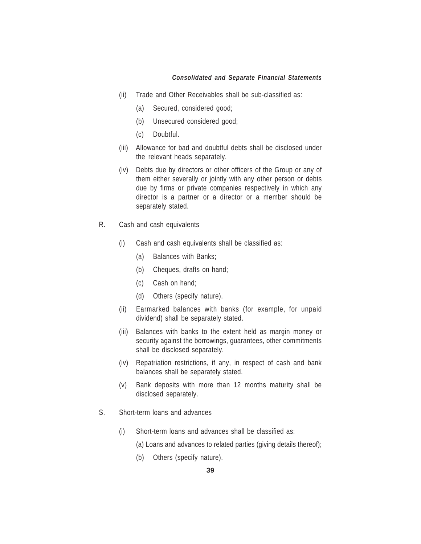- (ii) Trade and Other Receivables shall be sub-classified as:
	- (a) Secured, considered good;
	- (b) Unsecured considered good;
	- (c) Doubtful.
- (iii) Allowance for bad and doubtful debts shall be disclosed under the relevant heads separately.
- (iv) Debts due by directors or other officers of the Group or any of them either severally or jointly with any other person or debts due by firms or private companies respectively in which any director is a partner or a director or a member should be separately stated.
- R. Cash and cash equivalents
	- (i) Cash and cash equivalents shall be classified as:
		- (a) Balances with Banks;
		- (b) Cheques, drafts on hand;
		- (c) Cash on hand;
		- (d) Others (specify nature).
	- (ii) Earmarked balances with banks (for example, for unpaid dividend) shall be separately stated.
	- (iii) Balances with banks to the extent held as margin money or security against the borrowings, quarantees, other commitments shall be disclosed separately.
	- (iv) Repatriation restrictions, if any, in respect of cash and bank balances shall be separately stated.
	- (v) Bank deposits with more than 12 months maturity shall be disclosed separately.
- S. Short-term loans and advances
	- (i) Short-term loans and advances shall be classified as:
		- (a) Loans and advances to related parties (giving details thereof);
		- (b) Others (specify nature).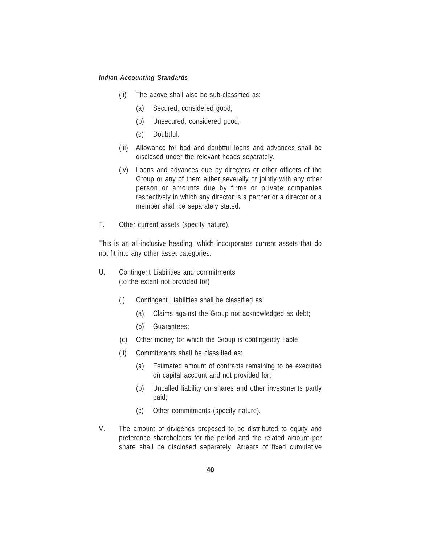- (ii) The above shall also be sub-classified as:
	- (a) Secured, considered good;
	- (b) Unsecured, considered good;
	- (c) Doubtful.
- (iii) Allowance for bad and doubtful loans and advances shall be disclosed under the relevant heads separately.
- (iv) Loans and advances due by directors or other officers of the Group or any of them either severally or jointly with any other person or amounts due by firms or private companies respectively in which any director is a partner or a director or a member shall be separately stated.
- T. Other current assets (specify nature).

This is an all-inclusive heading, which incorporates current assets that do not fit into any other asset categories.

- U. Contingent Liabilities and commitments (to the extent not provided for)
	- (i) Contingent Liabilities shall be classified as:
		- (a) Claims against the Group not acknowledged as debt;
		- (b) Guarantees;
	- (c) Other money for which the Group is contingently liable
	- (ii) Commitments shall be classified as:
		- (a) Estimated amount of contracts remaining to be executed on capital account and not provided for;
		- (b) Uncalled liability on shares and other investments partly paid;
		- (c) Other commitments (specify nature).
- V. The amount of dividends proposed to be distributed to equity and preference shareholders for the period and the related amount per share shall be disclosed separately. Arrears of fixed cumulative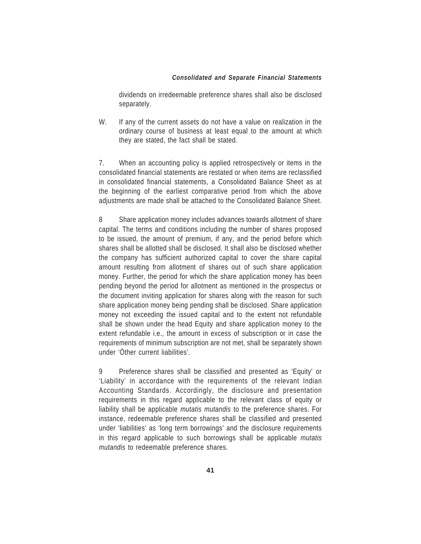dividends on irredeemable preference shares shall also be disclosed separately.

W. If any of the current assets do not have a value on realization in the ordinary course of business at least equal to the amount at which they are stated, the fact shall be stated.

7. When an accounting policy is applied retrospectively or items in the consolidated financial statements are restated or when items are reclassified in consolidated financial statements, a Consolidated Balance Sheet as at the beginning of the earliest comparative period from which the above adjustments are made shall be attached to the Consolidated Balance Sheet.

8 Share application money includes advances towards allotment of share capital. The terms and conditions including the number of shares proposed to be issued, the amount of premium, if any, and the period before which shares shall be allotted shall be disclosed. It shall also be disclosed whether the company has sufficient authorized capital to cover the share capital amount resulting from allotment of shares out of such share application money. Further, the period for which the share application money has been pending beyond the period for allotment as mentioned in the prospectus or the document inviting application for shares along with the reason for such share application money being pending shall be disclosed. Share application money not exceeding the issued capital and to the extent not refundable shall be shown under the head Equity and share application money to the extent refundable i.e., the amount in excess of subscription or in case the requirements of minimum subscription are not met, shall be separately shown under 'Óther current liabilities'.

9 Preference shares shall be classified and presented as 'Equity' or 'Liability' in accordance with the requirements of the relevant Indian Accounting Standards. Accordingly, the disclosure and presentation requirements in this regard applicable to the relevant class of equity or liability shall be applicable *mutatis mutandis* to the preference shares. For instance, redeemable preference shares shall be classified and presented under 'liabilities' as 'long term borrowings' and the disclosure requirements in this regard applicable to such borrowings shall be applicable *mutatis mutandis* to redeemable preference shares.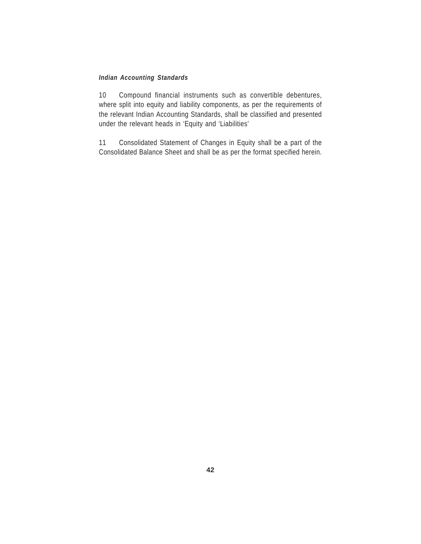10 Compound financial instruments such as convertible debentures, where split into equity and liability components, as per the requirements of the relevant Indian Accounting Standards, shall be classified and presented under the relevant heads in 'Equity and 'Liabilities'

11 Consolidated Statement of Changes in Equity shall be a part of the Consolidated Balance Sheet and shall be as per the format specified herein.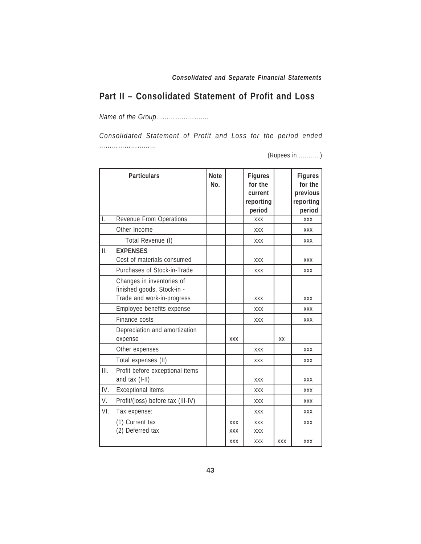# **Part II – Consolidated Statement of Profit and Loss**

*Name of the Group…………………….*

*Consolidated Statement of Profit and Loss for the period ended ………………………*

(Rupees in…………)

|      | <b>Particulars</b>                                                                    | <b>Note</b><br>No. |            | <b>Figures</b><br>for the<br>current<br>reporting<br>period |     | <b>Figures</b><br>for the<br>previous<br>reporting<br>period |
|------|---------------------------------------------------------------------------------------|--------------------|------------|-------------------------------------------------------------|-----|--------------------------------------------------------------|
| Ι.   | <b>Revenue From Operations</b>                                                        |                    |            | XXX                                                         |     | XXX                                                          |
|      | Other Income                                                                          |                    |            | <b>XXX</b>                                                  |     | <b>XXX</b>                                                   |
|      | Total Revenue (I)                                                                     |                    |            | <b>XXX</b>                                                  |     | <b>XXX</b>                                                   |
| Π.   | <b>EXPENSES</b><br>Cost of materials consumed                                         |                    |            | XXX                                                         |     | XXX                                                          |
|      | Purchases of Stock-in-Trade                                                           |                    |            | XXX                                                         |     | <b>XXX</b>                                                   |
|      | Changes in inventories of<br>finished goods, Stock-in -<br>Trade and work-in-progress |                    |            | XXX                                                         |     | XXX                                                          |
|      | Employee benefits expense                                                             |                    |            | <b>XXX</b>                                                  |     | <b>XXX</b>                                                   |
|      | Finance costs                                                                         |                    |            | XXX                                                         |     | XXX                                                          |
|      | Depreciation and amortization<br>expense                                              |                    | <b>XXX</b> |                                                             | XX  |                                                              |
|      | Other expenses                                                                        |                    |            | XXX                                                         |     | XXX                                                          |
|      | Total expenses (II)                                                                   |                    |            | XXX                                                         |     | XXX                                                          |
| III. | Profit before exceptional items<br>and tax (I-II)                                     |                    |            | <b>XXX</b>                                                  |     | <b>XXX</b>                                                   |
| IV.  | <b>Exceptional Items</b>                                                              |                    |            | XXX                                                         |     | XXX                                                          |
| V.   | Profit/(loss) before tax (III-IV)                                                     |                    |            | <b>XXX</b>                                                  |     | XXX                                                          |
| VI.  | Tax expense:                                                                          |                    |            | XXX                                                         |     | XXX                                                          |
|      | (1) Current tax                                                                       |                    | XXX        | <b>XXX</b>                                                  |     | <b>XXX</b>                                                   |
|      | (2) Deferred tax                                                                      |                    | XXX        | <b>XXX</b>                                                  |     |                                                              |
|      |                                                                                       |                    | XXX        | <b>XXX</b>                                                  | XXX | <b>XXX</b>                                                   |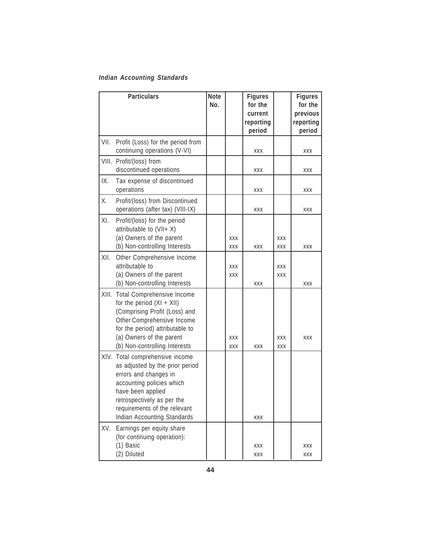|       | <b>Particulars</b>                                                  | <b>Note</b> |            | <b>Figures</b>       |            | <b>Figures</b>        |
|-------|---------------------------------------------------------------------|-------------|------------|----------------------|------------|-----------------------|
|       |                                                                     | No.         |            | for the              |            | for the               |
|       |                                                                     |             |            | current<br>reporting |            | previous<br>reporting |
|       |                                                                     |             |            | period               |            | period                |
| VII.  | Profit (Loss) for the period from                                   |             |            |                      |            |                       |
|       | continuing operations (V-VI)                                        |             |            | XXX                  |            | XXX                   |
|       | VIII. Profit/(loss) from<br>discontinued operations                 |             |            | <b>XXX</b>           |            | XXX                   |
| IX.   | Tax expense of discontinued<br>operations                           |             |            | XXX                  |            | XXX                   |
| Х.    | Profit/(loss) from Discontinued<br>operations (after tax) (VIII-IX) |             |            | XXX                  |            | XXX                   |
| XI.   | Profit/(loss) for the period<br>attributable to (VII+ X)            |             |            |                      |            |                       |
|       | (a) Owners of the parent                                            |             | XXX        |                      | <b>XXX</b> |                       |
|       | (b) Non-controlling Interests                                       |             | <b>XXX</b> | XXX                  | <b>XXX</b> | XXX                   |
| XII.  | Other Comprehensive Income                                          |             |            |                      |            |                       |
|       | attributable to                                                     |             | XXX        |                      | <b>XXX</b> |                       |
|       | (a) Owners of the parent                                            |             | <b>XXX</b> |                      | <b>XXX</b> |                       |
|       | (b) Non-controlling Interests                                       |             |            | XXX                  |            | XXX                   |
| XIII. | Total Comprehensive Income                                          |             |            |                      |            |                       |
|       | for the period $(XI + XII)$                                         |             |            |                      |            |                       |
|       | (Comprising Profit (Loss) and<br>Other Comprehensive Income         |             |            |                      |            |                       |
|       | for the period) attributable to                                     |             |            |                      |            |                       |
|       | (a) Owners of the parent                                            |             | <b>XXX</b> |                      | <b>XXX</b> | XXX                   |
|       | (b) Non-controlling Interests                                       |             | XXX        | XXX                  | XXX        |                       |
|       | XIV. Total comprehensive income<br>as adjusted by the prior period  |             |            |                      |            |                       |
|       | errors and changes in<br>accounting policies which                  |             |            |                      |            |                       |
|       | have been applied                                                   |             |            |                      |            |                       |
|       | retrospectively as per the<br>requirements of the relevant          |             |            |                      |            |                       |
|       | Indian Accounting Standards                                         |             |            | XXX                  |            |                       |
| XV.   | Earnings per equity share                                           |             |            |                      |            |                       |
|       | (for continuing operation):                                         |             |            |                      |            |                       |
|       | (1) Basic                                                           |             |            | XXX                  |            | XXX                   |
|       | (2) Diluted                                                         |             |            | XXX                  |            | XXX                   |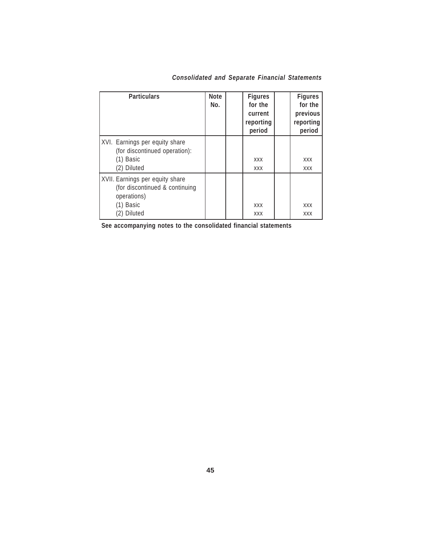| <b>Consolidated and Separate Financial Statements</b> |  |  |  |
|-------------------------------------------------------|--|--|--|
|-------------------------------------------------------|--|--|--|

| <b>Particulars</b>                                                                                             | <b>Note</b><br>No. | <b>Figures</b><br>for the<br>current<br>reporting<br>period | <b>Figures</b><br>for the<br>previous<br>reporting<br>period |
|----------------------------------------------------------------------------------------------------------------|--------------------|-------------------------------------------------------------|--------------------------------------------------------------|
| XVI. Earnings per equity share<br>(for discontinued operation):<br>$(1)$ Basic<br>(2) Diluted                  |                    | XXX<br>XXX                                                  | <b>XXX</b><br><b>XXX</b>                                     |
| XVII. Earnings per equity share<br>(for discontinued & continuing<br>operations)<br>$(1)$ Basic<br>(2) Diluted |                    | <b>XXX</b><br>XXX                                           | <b>XXX</b><br><b>XXX</b>                                     |

**See accompanying notes to the consolidated financial statements**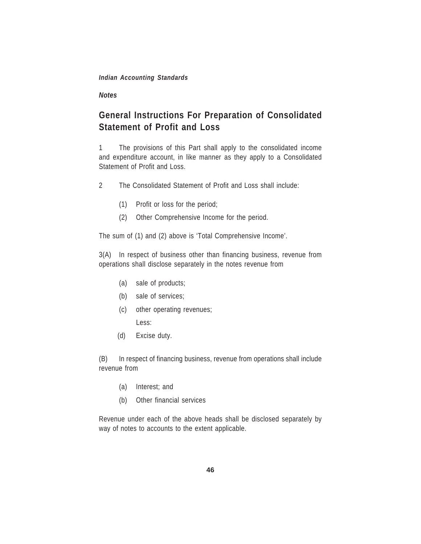### *Notes*

# **General Instructions For Preparation of Consolidated Statement of Profit and Loss**

1 The provisions of this Part shall apply to the consolidated income and expenditure account, in like manner as they apply to a Consolidated Statement of Profit and Loss.

- 2 The Consolidated Statement of Profit and Loss shall include:
	- (1) Profit or loss for the period;
	- (2) Other Comprehensive Income for the period.

The sum of (1) and (2) above is 'Total Comprehensive Income'.

3(A) In respect of business other than financing business, revenue from operations shall disclose separately in the notes revenue from

- (a) sale of products;
- (b) sale of services;
- (c) other operating revenues;
	- Less:
- (d) Excise duty.

(B) In respect of financing business, revenue from operations shall include revenue from

- (a) Interest; and
- (b) Other financial services

Revenue under each of the above heads shall be disclosed separately by way of notes to accounts to the extent applicable.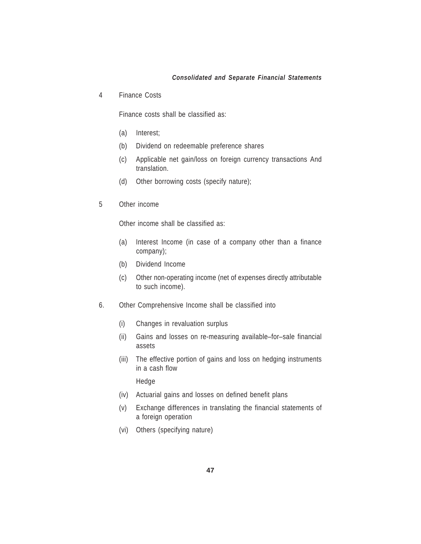4 Finance Costs

Finance costs shall be classified as:

- (a) Interest;
- (b) Dividend on redeemable preference shares
- (c) Applicable net gain/loss on foreign currency transactions And translation.
- (d) Other borrowing costs (specify nature);
- 5 Other income

Other income shall be classified as:

- (a) Interest Income (in case of a company other than a finance company);
- (b) Dividend Income
- (c) Other non-operating income (net of expenses directly attributable to such income).
- 6. Other Comprehensive Income shall be classified into
	- (i) Changes in revaluation surplus
	- (ii) Gains and losses on re-measuring available–for–sale financial assets
	- (iii) The effective portion of gains and loss on hedging instruments in a cash flow

Hedge

- (iv) Actuarial gains and losses on defined benefit plans
- (v) Exchange differences in translating the financial statements of a foreign operation
- (vi) Others (specifying nature)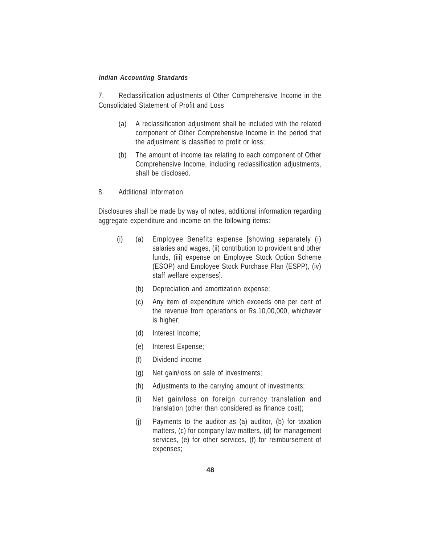7. Reclassification adjustments of Other Comprehensive Income in the Consolidated Statement of Profit and Loss

- (a) A reclassification adjustment shall be included with the related component of Other Comprehensive Income in the period that the adjustment is classified to profit or loss;
- (b) The amount of income tax relating to each component of Other Comprehensive Income, including reclassification adjustments, shall be disclosed.
- 8. Additional Information

Disclosures shall be made by way of notes, additional information regarding aggregate expenditure and income on the following items:

- (i) (a) Employee Benefits expense [showing separately (i) salaries and wages, (ii) contribution to provident and other funds, (iii) expense on Employee Stock Option Scheme (ESOP) and Employee Stock Purchase Plan (ESPP), (iv) staff welfare expenses].
	- (b) Depreciation and amortization expense;
	- (c) Any item of expenditure which exceeds one per cent of the revenue from operations or Rs.10,00,000, whichever is higher;
	- (d) Interest Income;
	- (e) Interest Expense;
	- (f) Dividend income
	- (g) Net gain/loss on sale of investments;
	- (h) Adjustments to the carrying amount of investments;
	- (i) Net gain/loss on foreign currency translation and translation (other than considered as finance cost);
	- (j) Payments to the auditor as (a) auditor, (b) for taxation matters, (c) for company law matters, (d) for management services, (e) for other services, (f) for reimbursement of expenses;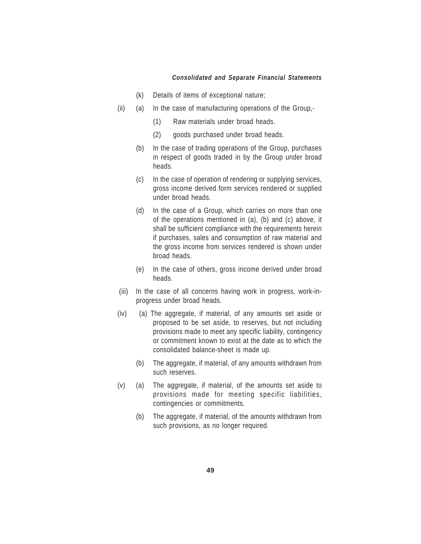- (k) Details of items of exceptional nature;
- (ii) (a) In the case of manufacturing operations of the Group,-
	- (1) Raw materials under broad heads.
	- (2) goods purchased under broad heads.
	- (b) In the case of trading operations of the Group, purchases in respect of goods traded in by the Group under broad heads.
	- (c) In the case of operation of rendering or supplying services, gross income derived form services rendered or supplied under broad heads.
	- (d) In the case of a Group, which carries on more than one of the operations mentioned in (a), (b) and (c) above, it shall be sufficient compliance with the requirements herein if purchases, sales and consumption of raw material and the gross income from services rendered is shown under broad heads.
	- (e) In the case of others, gross income derived under broad heads.
- (iii) In the case of all concerns having work in progress, work-inprogress under broad heads.
- (iv) (a) The aggregate, if material, of any amounts set aside or proposed to be set aside, to reserves, but not including provisions made to meet any specific liability, contingency or commitment known to exist at the date as to which the consolidated balance-sheet is made up.
	- (b) The aggregate, if material, of any amounts withdrawn from such reserves.
- (v) (a) The aggregate, if material, of the amounts set aside to provisions made for meeting specific liabilities, contingencies or commitments.
	- (b) The aggregate, if material, of the amounts withdrawn from such provisions, as no longer required.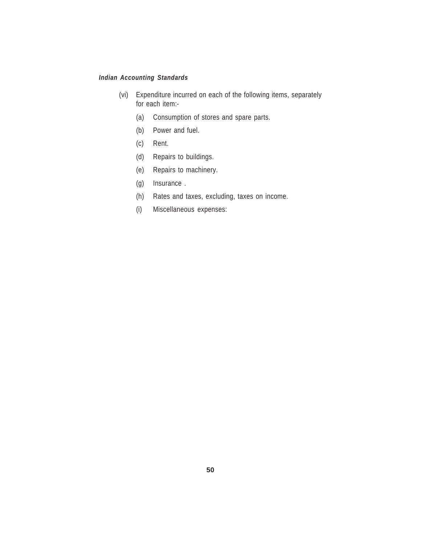- (vi) Expenditure incurred on each of the following items, separately for each item:-
	- (a) Consumption of stores and spare parts.
	- (b) Power and fuel.
	- (c) Rent.
	- (d) Repairs to buildings.
	- (e) Repairs to machinery.
	- (g) Insurance .
	- (h) Rates and taxes, excluding, taxes on income.
	- (i) Miscellaneous expenses: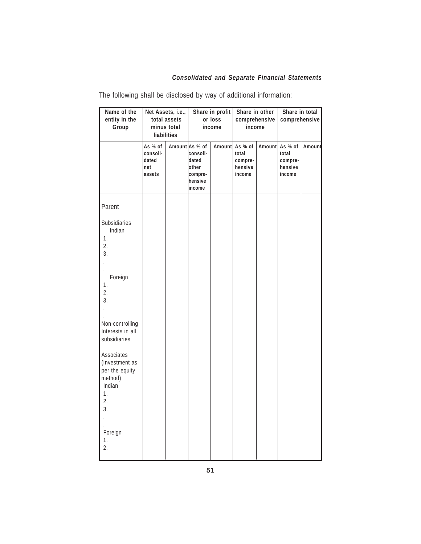|  |  |  | The following shall be disclosed by way of additional information: |
|--|--|--|--------------------------------------------------------------------|
|--|--|--|--------------------------------------------------------------------|

| Name of the<br>entity in the<br>Group                                                                                                                                                                                                                  | Net Assets, i.e.,<br>total assets<br>minus total<br>liabilities |  | Share in profit<br>or loss<br>income                                         |        | Share in other<br>comprehensive<br>income        |        | Share in total<br>comprehensive                  |        |
|--------------------------------------------------------------------------------------------------------------------------------------------------------------------------------------------------------------------------------------------------------|-----------------------------------------------------------------|--|------------------------------------------------------------------------------|--------|--------------------------------------------------|--------|--------------------------------------------------|--------|
|                                                                                                                                                                                                                                                        | As % of<br>consoli-<br>dated<br>net<br>assets                   |  | Amount As % of<br>consoli-<br>dated<br>other<br>compre-<br>hensive<br>income | Amount | As % of<br>total<br>compre-<br>hensive<br>income | Amount | As % of<br>total<br>compre-<br>hensive<br>income | Amount |
| Parent<br>Subsidiaries<br>Indian<br>1.<br>2.<br>3.<br>Foreign<br>1.<br>2.<br>3.<br>Non-controlling<br>Interests in all<br>subsidiaries<br>Associates<br>(Investment as<br>per the equity<br>method)<br>Indian<br>1.<br>2.<br>3.<br>Foreign<br>1.<br>2. |                                                                 |  |                                                                              |        |                                                  |        |                                                  |        |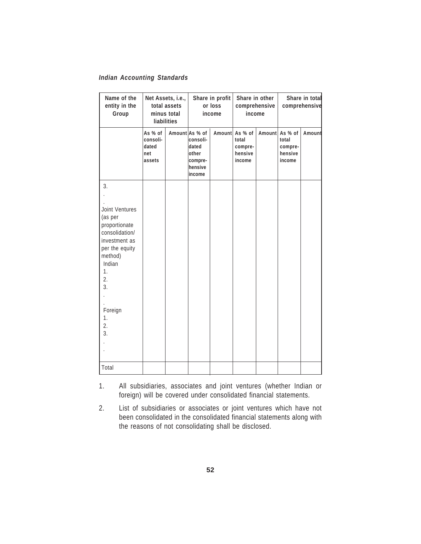| Name of the<br>entity in the<br>Group                                                                                                                                     | Net Assets, i.e.,<br>total assets<br>minus total<br>liabilities |  | Share in profit<br>or loss<br>income                                         |        | Share in other<br>comprehensive<br>income        |  | Share in total<br>comprehensive                         |        |
|---------------------------------------------------------------------------------------------------------------------------------------------------------------------------|-----------------------------------------------------------------|--|------------------------------------------------------------------------------|--------|--------------------------------------------------|--|---------------------------------------------------------|--------|
|                                                                                                                                                                           | As % of<br>consoli-<br>dated<br>net<br>assets                   |  | Amount As % of<br>consoli-<br>dated<br>other<br>compre-<br>hensive<br>income | Amount | As % of<br>total<br>compre-<br>hensive<br>income |  | Amount As % of<br>total<br>compre-<br>hensive<br>income | Amount |
| 3.<br>Joint Ventures<br>(as per<br>proportionate<br>consolidation/<br>investment as<br>per the equity<br>method)<br>Indian<br>1.<br>2.<br>3.<br>Foreign<br>1.<br>2.<br>3. |                                                                 |  |                                                                              |        |                                                  |  |                                                         |        |
| Total                                                                                                                                                                     |                                                                 |  |                                                                              |        |                                                  |  |                                                         |        |

1. All subsidiaries, associates and joint ventures (whether Indian or foreign) will be covered under consolidated financial statements.

2. List of subsidiaries or associates or joint ventures which have not been consolidated in the consolidated financial statements along with the reasons of not consolidating shall be disclosed.